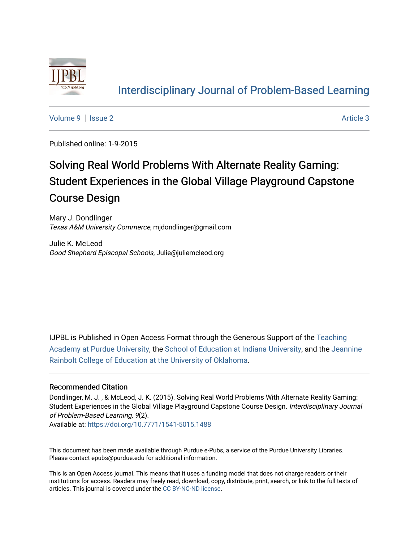

# [Interdisciplinary Journal of Problem-Based Learning](https://docs.lib.purdue.edu/ijpbl)

[Volume 9](https://docs.lib.purdue.edu/ijpbl/vol9) | [Issue 2](https://docs.lib.purdue.edu/ijpbl/vol9/iss2) Article 3

Published online: 1-9-2015

# Solving Real World Problems With Alternate Reality Gaming: Student Experiences in the Global Village Playground Capstone Course Design

Mary J. Dondlinger Texas A&M University Commerce, mjdondlinger@gmail.com

Julie K. McLeod Good Shepherd Episcopal Schools, Julie@juliemcleod.org

IJPBL is Published in Open Access Format through the Generous Support of the [Teaching](https://www.purdue.edu/cie/aboutus/teachingacademy.html) [Academy at Purdue University](https://www.purdue.edu/cie/aboutus/teachingacademy.html), the [School of Education at Indiana University,](https://education.indiana.edu/index.html) and the [Jeannine](http://ou.edu/education) [Rainbolt College of Education at the University of Oklahoma](http://ou.edu/education).

#### Recommended Citation

Dondlinger, M. J. , & McLeod, J. K. (2015). Solving Real World Problems With Alternate Reality Gaming: Student Experiences in the Global Village Playground Capstone Course Design. Interdisciplinary Journal of Problem-Based Learning, 9(2).

Available at:<https://doi.org/10.7771/1541-5015.1488>

This document has been made available through Purdue e-Pubs, a service of the Purdue University Libraries. Please contact epubs@purdue.edu for additional information.

This is an Open Access journal. This means that it uses a funding model that does not charge readers or their institutions for access. Readers may freely read, download, copy, distribute, print, search, or link to the full texts of articles. This journal is covered under the [CC BY-NC-ND license](https://creativecommons.org/licenses/by-nc-nd/4.0/).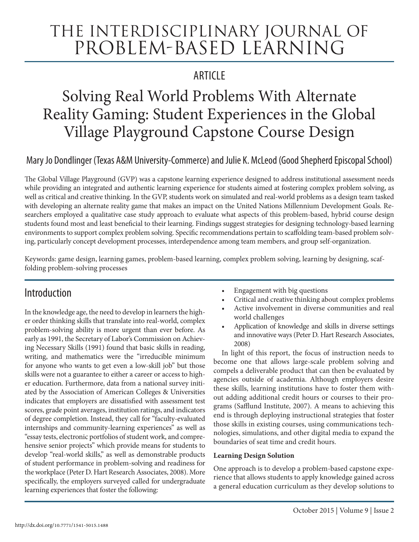# The Interdisciplinary Journal of Problem-based Learning

# **ARTICLE**

# Solving Real World Problems With Alternate Reality Gaming: Student Experiences in the Global Village Playground Capstone Course Design

# Mary Jo Dondlinger (Texas A&M University-Commerce) and Julie K. McLeod (Good Shepherd Episcopal School)

The Global Village Playground (GVP) was a capstone learning experience designed to address institutional assessment needs while providing an integrated and authentic learning experience for students aimed at fostering complex problem solving, as well as critical and creative thinking. In the GVP, students work on simulated and real-world problems as a design team tasked with developing an alternate reality game that makes an impact on the United Nations Millennium Development Goals. Researchers employed a qualitative case study approach to evaluate what aspects of this problem-based, hybrid course design students found most and least beneficial to their learning. Findings suggest strategies for designing technology-based learning environments to support complex problem solving. Specific recommendations pertain to scaffolding team-based problem solving, particularly concept development processes, interdependence among team members, and group self-organization.

Keywords: game design, learning games, problem-based learning, complex problem solving, learning by designing, scaffolding problem-solving processes

# Introduction

In the knowledge age, the need to develop in learners the higher order thinking skills that translate into real-world, complex problem-solving ability is more urgent than ever before. As early as 1991, the Secretary of Labor's Commission on Achieving Necessary Skills (1991) found that basic skills in reading, writing, and mathematics were the "irreducible minimum for anyone who wants to get even a low-skill job" but those skills were not a guarantee to either a career or access to higher education. Furthermore, data from a national survey initiated by the Association of American Colleges & Universities indicates that employers are dissatisfied with assessment test scores, grade point averages, institution ratings, and indicators of degree completion. Instead, they call for "faculty-evaluated internships and community-learning experiences" as well as "essay tests, electronic portfolios of student work, and comprehensive senior projects" which provide means for students to develop "real-world skills," as well as demonstrable products of student performance in problem-solving and readiness for the workplace (Peter D. Hart Research Associates, 2008). More specifically, the employers surveyed called for undergraduate learning experiences that foster the following:

- Engagement with big questions
- Critical and creative thinking about complex problems
- Active involvement in diverse communities and real world challenges
- Application of knowledge and skills in diverse settings and innovative ways (Peter D. Hart Research Associates, 2008)

In light of this report, the focus of instruction needs to become one that allows large-scale problem solving and compels a deliverable product that can then be evaluated by agencies outside of academia. Although employers desire these skills, learning institutions have to foster them without adding additional credit hours or courses to their programs (Safflund Institute, 2007). A means to achieving this end is through deploying instructional strategies that foster those skills in existing courses, using communications technologies, simulations, and other digital media to expand the boundaries of seat time and credit hours.

### **Learning Design Solution**

One approach is to develop a problem-based capstone experience that allows students to apply knowledge gained across a general education curriculum as they develop solutions to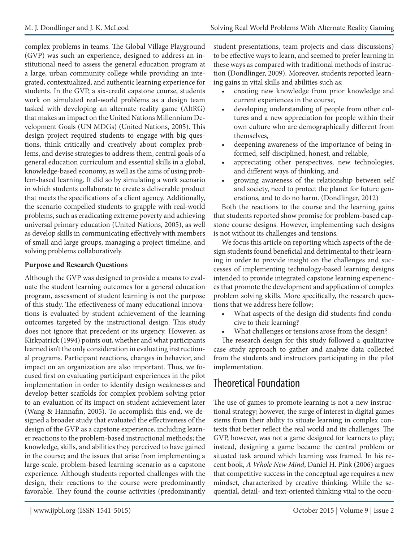complex problems in teams. The Global Village Playground (GVP) was such an experience, designed to address an institutional need to assess the general education program at a large, urban community college while providing an integrated, contextualized, and authentic learning experience for students. In the GVP, a six-credit capstone course, students work on simulated real-world problems as a design team tasked with developing an alternate reality game (AltRG) that makes an impact on the United Nations Millennium Development Goals (UN MDGs) (United Nations, 2005). This design project required students to engage with big questions, think critically and creatively about complex problems, and devise strategies to address them, central goals of a general education curriculum and essential skills in a global, knowledge-based economy, as well as the aims of using problem-based learning. It did so by simulating a work scenario in which students collaborate to create a deliverable product that meets the specifications of a client agency. Additionally, the scenario compelled students to grapple with real-world problems, such as eradicating extreme poverty and achieving universal primary education (United Nations, 2005), as well as develop skills in communicating effectively with members of small and large groups, managing a project timeline, and solving problems collaboratively.

#### **Purpose and Research Questions**

Although the GVP was designed to provide a means to evaluate the student learning outcomes for a general education program, assessment of student learning is not the purpose of this study. The effectiveness of many educational innovations is evaluated by student achievement of the learning outcomes targeted by the instructional design. This study does not ignore that precedent or its urgency. However, as Kirkpatrick (1994) points out, whether and what participants learned isn't the only consideration in evaluating instructional programs. Participant reactions, changes in behavior, and impact on an organization are also important. Thus, we focused first on evaluating participant experiences in the pilot implementation in order to identify design weaknesses and develop better scaffolds for complex problem solving prior to an evaluation of its impact on student achievement later (Wang & Hannafin, 2005). To accomplish this end, we designed a broader study that evaluated the effectiveness of the design of the GVP as a capstone experience, including learner reactions to the problem-based instructional methods; the knowledge, skills, and abilities they perceived to have gained in the course; and the issues that arise from implementing a large-scale, problem-based learning scenario as a capstone experience. Although students reported challenges with the design, their reactions to the course were predominantly favorable. They found the course activities (predominantly

student presentations, team projects and class discussions) to be effective ways to learn, and seemed to prefer learning in these ways as compared with traditional methods of instruction (Dondlinger, 2009). Moreover, students reported learning gains in vital skills and abilities such as:

- creating new knowledge from prior knowledge and current experiences in the course,
- developing understanding of people from other cultures and a new appreciation for people within their own culture who are demographically different from themselves,
- deepening awareness of the importance of being informed, self-disciplined, honest, and reliable,
- appreciating other perspectives, new technologies, and different ways of thinking, and
- growing awareness of the relationship between self and society, need to protect the planet for future generations, and to do no harm. (Dondlinger, 2012)

Both the reactions to the course and the learning gains that students reported show promise for problem-based capstone course designs. However, implementing such designs is not without its challenges and tensions.

We focus this article on reporting which aspects of the design students found beneficial and detrimental to their learning in order to provide insight on the challenges and successes of implementing technology-based learning designs intended to provide integrated capstone learning experiences that promote the development and application of complex problem solving skills. More specifically, the research questions that we address here follow:

- • What aspects of the design did students find conducive to their learning?
- What challenges or tensions arose from the design?

The research design for this study followed a qualitative case study approach to gather and analyze data collected from the students and instructors participating in the pilot implementation.

# Theoretical Foundation

The use of games to promote learning is not a new instructional strategy; however, the surge of interest in digital games stems from their ability to situate learning in complex contexts that better reflect the real world and its challenges. The GVP, however, was not a game designed for learners to play; instead, designing a game became the central problem or situated task around which learning was framed. In his recent book, *A Whole New Mind*, Daniel H. Pink (2006) argues that competitive success in the conceptual age requires a new mindset, characterized by creative thinking. While the sequential, detail- and text-oriented thinking vital to the occu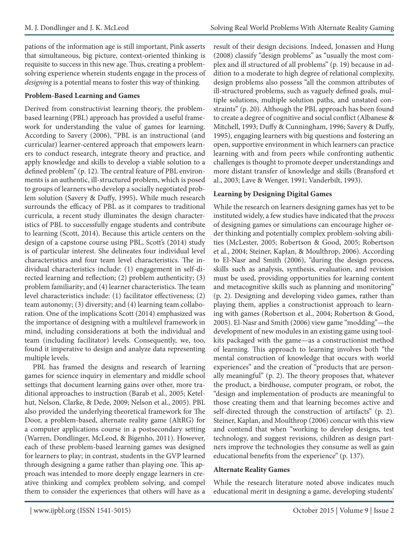pations of the information age is still important, Pink asserts that simultaneous, big picture, context-oriented thinking is requisite to success in this new age. Thus, creating a problemsolving experience wherein students engage in the process of *designing* is a potential means to foster this way of thinking.

#### **Problem-Based Learning and Games**

Derived from constructivist learning theory, the problembased learning (PBL) approach has provided a useful framework for understanding the value of games for learning. According to Savery (2006), "PBL is an instructional (and curricular) learner-centered approach that empowers learners to conduct research, integrate theory and practice, and apply knowledge and skills to develop a viable solution to a defined problem" (p. 12). The central feature of PBL environments is an authentic, ill-structured problem, which is posed to groups of learners who develop a socially negotiated problem solution (Savery & Duffy, 1995)**.** While much research surrounds the efficacy of PBL as it compares to traditional curricula, a recent study illuminates the design characteristics of PBL to successfully engage students and contribute to learning (Scott, 2014). Because this article centers on the design of a capstone course using PBL, Scott's (2014) study is of particular interest. She delineates four individual level characteristics and four team level characteristics. The individual characteristics include: (1) engagement in self-directed learning and reflection; (2) problem authenticity; (3) problem familiarity; and (4) learner characteristics. The team level characteristics include: (1) facilitator effectiveness; (2) team autonomy; (3) diversity; and (4) learning team collaboration. One of the implications Scott (2014) emphasized was the importance of designing with a multilevel framework in mind, including considerations at both the individual and team (including facilitator) levels. Consequently, we, too, found it imperative to design and analyze data representing multiple levels.

PBL has framed the designs and research of learning games for science inquiry in elementary and middle school settings that document learning gains over other, more traditional approaches to instruction (Barab et al., 2005; Ketelhut, Nelson, Clarke, & Dede, 2009; Nelson et al., 2005). PBL also provided the underlying theoretical framework for The Door, a problem-based, alternate reality game (AltRG) for a computer applications course in a postsecondary setting (Warren, Dondlinger, McLeod, & Bigenho, 2011). However, each of these problem-based learning games was designed for learners to play; in contrast, students in the GVP learned through designing a game rather than playing one. This approach was intended to more deeply engage learners in creative thinking and complex problem solving, and compel them to consider the experiences that others will have as a

result of their design decisions. Indeed, Jonassen and Hung (2008) classify "design problems" as "usually the most complex and ill structured of all problems" (p. 19) because in addition to a moderate to high degree of relational complexity, design problems also possess "all the common attributes of ill-structured problems, such as vaguely defined goals, multiple solutions, multiple solution paths, and unstated constraints" (p. 20). Although the PBL approach has been found to create a degree of cognitive and social conflict (Albanese & Mitchell, 1993; Duffy & Cunningham, 1996; Savery & Duffy, 1995), engaging learners with big questions and fostering an open, supportive environment in which learners can practice learning with and from peers while confronting authentic challenges is thought to promote deeper understandings and more distant transfer of knowledge and skills (Bransford et al., 2003; Lave & Wenger, 1991; Vanderbilt, 1993).

#### **Learning by Designing Digital Games**

While the research on learners designing games has yet to be instituted widely, a few studies have indicated that the *process* of designing games or simulations can encourage higher order thinking and potentially complex problem-solving abilities (McLester, 2005; Robertson & Good, 2005; Robertson et al., 2004; Steiner, Kaplan, & Moulthrop, 2006). According to El-Nasr and Smith (2006), "during the design process, skills such as analysis, synthesis, evaluation, and revision must be used, providing opportunities for learning content and metacognitive skills such as planning and monitoring" (p. 2). Designing and developing video games, rather than playing them, applies a constructionist approach to learning with games (Robertson et al., 2004; Robertson & Good, 2005). El-Nasr and Smith (2006) view game "modding"—the development of new modules in an existing game using toolkits packaged with the game—as a constructionist method of learning. This approach to learning involves both "the mental construction of knowledge that occurs with world experiences" and the creation of "products that are personally meaningful" (p. 2). The theory proposes that, whatever the product, a birdhouse, computer program, or robot, the "design and implementation of products are meaningful to those creating them and that learning becomes active and self-directed through the construction of artifacts" (p. 2). Steiner, Kaplan, and Moulthrop (2006) concur with this view and contend that when "working to develop designs, test technology, and suggest revisions, children as design partners improve the technologies they consume as well as gain educational benefits from the experience" (p. 137).

#### **Alternate Reality Games**

While the research literature noted above indicates much educational merit in designing a game, developing students'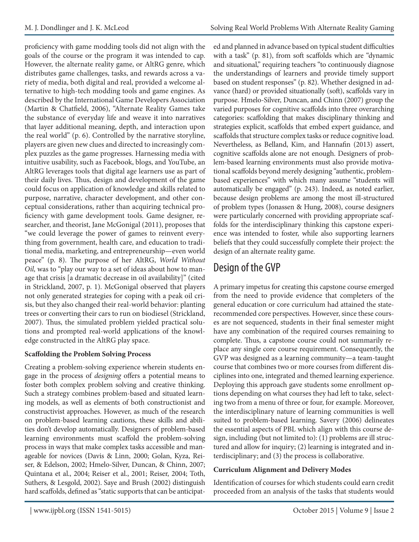proficiency with game modding tools did not align with the goals of the course or the program it was intended to cap. However, the alternate reality game, or AltRG genre, which distributes game challenges, tasks, and rewards across a variety of media, both digital and real, provided a welcome alternative to high-tech modding tools and game engines. As described by the International Game Developers Association (Martin & Chatfield, 2006), "Alternate Reality Games take the substance of everyday life and weave it into narratives that layer additional meaning, depth, and interaction upon the real world" (p. 6). Controlled by the narrative storyline, players are given new clues and directed to increasingly complex puzzles as the game progresses. Harnessing media with intuitive usability, such as Facebook, blogs, and YouTube, an AltRG leverages tools that digital age learners use as part of their daily lives. Thus, design and development of the game could focus on application of knowledge and skills related to purpose, narrative, character development, and other conceptual considerations, rather than acquiring technical proficiency with game development tools. Game designer, researcher, and theorist, Jane McGonigal (2011), proposes that "we could leverage the power of games to reinvent everything from government, health care, and education to traditional media, marketing, and entrepreneurship—even world peace" (p. 8). The purpose of her AltRG, *World Without Oil,* was to "play our way to a set of ideas about how to manage that crisis [a dramatic decrease in oil availability]" (cited in Strickland, 2007, p. 1). McGonigal observed that players not only generated strategies for coping with a peak oil crisis, but they also changed their real-world behavior: planting trees or converting their cars to run on biodiesel (Strickland, 2007). Thus, the simulated problem yielded practical solutions and prompted real-world applications of the knowledge constructed in the AltRG play space.

#### **Scaffolding the Problem Solving Process**

Creating a problem-solving experience wherein students engage in the process of *designing* offers a potential means to foster both complex problem solving and creative thinking. Such a strategy combines problem-based and situated learning models, as well as elements of both constructionist and constructivist approaches. However, as much of the research on problem-based learning cautions, these skills and abilities don't develop automatically. Designers of problem-based learning environments must scaffold the problem-solving process in ways that make complex tasks accessible and manageable for novices (Davis & Linn, 2000; Golan, Kyza, Reiser, & Edelson, 2002; Hmelo-Silver, Duncan, & Chinn, 2007; Quintana et al., 2004; Reiser et al., 2001; Reiser, 2004; Toth, Suthers, & Lesgold, 2002). Saye and Brush (2002) distinguish hard scaffolds, defined as "static supports that can be anticipated and planned in advance based on typical student difficulties with a task" (p. 81), from soft scaffolds which are "dynamic and situational," requiring teachers "to continuously diagnose the understandings of learners and provide timely support based on student responses" (p. 82). Whether designed in advance (hard) or provided situationally (soft), scaffolds vary in purpose. Hmelo-Silver, Duncan, and Chinn (2007) group the varied purposes for cognitive scaffolds into three overarching categories: scaffolding that makes disciplinary thinking and strategies explicit, scaffolds that embed expert guidance, and scaffolds that structure complex tasks or reduce cognitive load. Nevertheless, as Belland, Kim, and Hannafin (2013) assert, cognitive scaffolds alone are not enough. Designers of problem-based learning environments must also provide motivational scaffolds beyond merely designing "authentic, problembased experiences" with which many assume "students will automatically be engaged" (p. 243). Indeed, as noted earlier, because design problems are among the most ill-structured of problem types (Jonassen & Hung, 2008), course designers were particularly concerned with providing appropriate scaffolds for the interdisciplinary thinking this capstone experience was intended to foster, while also supporting learners beliefs that they could successfully complete their project: the design of an alternate reality game.

# Design of the GVP

A primary impetus for creating this capstone course emerged from the need to provide evidence that completers of the general education or core curriculum had attained the staterecommended core perspectives. However, since these courses are not sequenced, students in their final semester might have any combination of the required courses remaining to complete. Thus, a capstone course could not summarily replace any single core course requirement. Consequently, the GVP was designed as a learning community—a team-taught course that combines two or more courses from different disciplines into one, integrated and themed learning experience. Deploying this approach gave students some enrollment options depending on what courses they had left to take, selecting two from a menu of three or four, for example. Moreover, the interdisciplinary nature of learning communities is well suited to problem-based learning. Savery (2006) delineates the essential aspects of PBL which align with this course design, including (but not limited to): (1) problems are ill structured and allow for inquiry; (2) learning is integrated and interdisciplinary; and (3) the process is collaborative.

#### **Curriculum Alignment and Delivery Modes**

Identification of courses for which students could earn credit proceeded from an analysis of the tasks that students would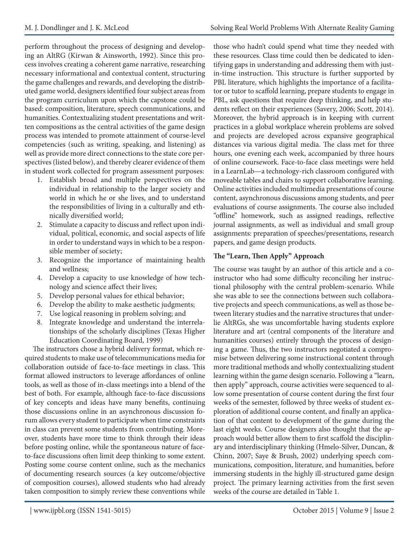perform throughout the process of designing and developing an AltRG (Kirwan & Ainsworth, 1992). Since this process involves creating a coherent game narrative, researching necessary informational and contextual content, structuring the game challenges and rewards, and developing the distributed game world, designers identified four subject areas from the program curriculum upon which the capstone could be based: composition, literature, speech communications, and humanities. Contextualizing student presentations and written compositions as the central activities of the game design process was intended to promote attainment of course-level competencies (such as writing, speaking, and listening) as well as provide more direct connections to the state core perspectives (listed below), and thereby clearer evidence of them in student work collected for program assessment purposes:

- 1. Establish broad and multiple perspectives on the individual in relationship to the larger society and world in which he or she lives, and to understand the responsibilities of living in a culturally and ethnically diversified world;
- 2. Stimulate a capacity to discuss and reflect upon individual, political, economic, and social aspects of life in order to understand ways in which to be a responsible member of society;
- 3. Recognize the importance of maintaining health and wellness;
- 4. Develop a capacity to use knowledge of how technology and science affect their lives;
- 5. Develop personal values for ethical behavior;
- 6. Develop the ability to make aesthetic judgments;
- 7. Use logical reasoning in problem solving; and
- 8. Integrate knowledge and understand the interrelationships of the scholarly disciplines (Texas Higher Education Coordinating Board, 1999)

The instructors chose a hybrid delivery format, which required students to make use of telecommunications media for collaboration outside of face-to-face meetings in class. This format allowed instructors to leverage affordances of online tools, as well as those of in-class meetings into a blend of the best of both. For example, although face-to-face discussions of key concepts and ideas have many benefits, continuing those discussions online in an asynchronous discussion forum allows every student to participate when time constraints in class can prevent some students from contributing. Moreover, students have more time to think through their ideas before posting online, while the spontaneous nature of faceto-face discussions often limit deep thinking to some extent. Posting some course content online, such as the mechanics of documenting research sources (a key outcome/objective of composition courses), allowed students who had already taken composition to simply review these conventions while

those who hadn't could spend what time they needed with these resources. Class time could then be dedicated to identifying gaps in understanding and addressing them with justin-time instruction. This structure is further supported by PBL literature, which highlights the importance of a facilitator or tutor to scaffold learning, prepare students to engage in PBL, ask questions that require deep thinking, and help students reflect on their experiences (Savery, 2006; Scott, 2014). Moreover, the hybrid approach is in keeping with current practices in a global workplace wherein problems are solved and projects are developed across expansive geographical distances via various digital media. The class met for three hours, one evening each week, accompanied by three hours of online coursework. Face-to-face class meetings were held in a LearnLab—a technology-rich classroom configured with moveable tables and chairs to support collaborative learning. Online activities included multimedia presentations of course content, asynchronous discussions among students, and peer evaluations of course assignments. The course also included "offline" homework, such as assigned readings, reflective journal assignments, as well as individual and small group assignments: preparation of speeches/presentations, research papers, and game design products.

### **The "Learn, Then Apply" Approach**

The course was taught by an author of this article and a coinstructor who had some difficulty reconciling her instructional philosophy with the central problem-scenario. While she was able to see the connections between such collaborative projects and speech communications, as well as those between literary studies and the narrative structures that underlie AltRGs, she was uncomfortable having students explore literature and art (central components of the literature and humanities courses) entirely through the process of designing a game. Thus, the two instructors negotiated a compromise between delivering some instructional content through more traditional methods and wholly contextualizing student learning within the game design scenario. Following a "learn, then apply" approach, course activities were sequenced to allow some presentation of course content during the first four weeks of the semester, followed by three weeks of student exploration of additional course content, and finally an application of that content to development of the game during the last eight weeks. Course designers also thought that the approach would better allow them to first scaffold the disciplinary and interdisciplinary thinking (Hmelo-Silver, Duncan, & Chinn, 2007; Saye & Brush, 2002) underlying speech communications, composition, literature, and humanities, before immersing students in the highly ill-structured game design project. The primary learning activities from the first seven weeks of the course are detailed in Table 1.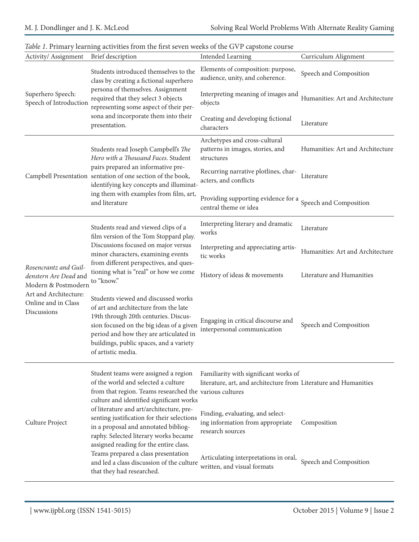| Activity/ Assignment                                                  | Brief description                                                                                                                                                                                                                                                                      | <b>Intended Learning</b>                                                                                  | Curriculum Alignment             |
|-----------------------------------------------------------------------|----------------------------------------------------------------------------------------------------------------------------------------------------------------------------------------------------------------------------------------------------------------------------------------|-----------------------------------------------------------------------------------------------------------|----------------------------------|
| Superhero Speech:<br>Speech of Introduction                           | Students introduced themselves to the<br>class by creating a fictional superhero<br>persona of themselves. Assignment<br>required that they select 3 objects<br>representing some aspect of their per-<br>sona and incorporate them into their<br>presentation.                        | Elements of composition: purpose,<br>audience, unity, and coherence.                                      | Speech and Composition           |
|                                                                       |                                                                                                                                                                                                                                                                                        | Interpreting meaning of images and<br>objects                                                             | Humanities: Art and Architecture |
|                                                                       |                                                                                                                                                                                                                                                                                        | Creating and developing fictional<br>characters                                                           | Literature                       |
|                                                                       | Students read Joseph Campbell's The<br>Hero with a Thousand Faces. Student<br>pairs prepared an informative pre-<br>Campbell Presentation sentation of one section of the book,<br>identifying key concepts and illuminat-<br>ing them with examples from film, art,<br>and literature | Archetypes and cross-cultural<br>patterns in images, stories, and<br>structures                           | Humanities: Art and Architecture |
|                                                                       |                                                                                                                                                                                                                                                                                        | Recurring narrative plotlines, char-<br>acters, and conflicts                                             | Literature                       |
|                                                                       |                                                                                                                                                                                                                                                                                        | Providing supporting evidence for a<br>central theme or idea                                              | Speech and Composition           |
|                                                                       | Students read and viewed clips of a<br>film version of the Tom Stoppard play.<br>Discussions focused on major versus<br>minor characters, examining events<br>from different perspectives, and ques-<br>tioning what is "real" or how we come<br>to "know."                            | Interpreting literary and dramatic<br>works                                                               | Literature                       |
|                                                                       |                                                                                                                                                                                                                                                                                        | Interpreting and appreciating artis-<br>tic works                                                         | Humanities: Art and Architecture |
| Rosencrantz and Guil-<br>denstern Are Dead and<br>Modern & Postmodern |                                                                                                                                                                                                                                                                                        | History of ideas & movements                                                                              | Literature and Humanities        |
| Art and Architecture:<br>Online and in Class<br>Discussions           | Students viewed and discussed works<br>of art and architecture from the late<br>19th through 20th centuries. Discus-<br>sion focused on the big ideas of a given<br>period and how they are articulated in<br>buildings, public spaces, and a variety<br>of artistic media.            | Engaging in critical discourse and<br>interpersonal communication                                         | Speech and Composition           |
| Culture Project                                                       | Student teams were assigned a region<br>of the world and selected a culture<br>from that region. Teams researched the various cultures<br>culture and identified significant works                                                                                                     | Familiarity with significant works of<br>literature, art, and architecture from Literature and Humanities |                                  |
|                                                                       | of literature and art/architecture, pre-<br>senting justification for their selections<br>in a proposal and annotated bibliog-<br>raphy. Selected literary works became<br>assigned reading for the entire class.                                                                      | Finding, evaluating, and select-<br>ing information from appropriate<br>research sources                  | Composition                      |
|                                                                       | Teams prepared a class presentation<br>and led a class discussion of the culture<br>that they had researched.                                                                                                                                                                          | Articulating interpretations in oral,<br>written, and visual formats                                      | Speech and Composition           |

### *Table 1*. Primary learning activities from the first seven weeks of the GVP capstone course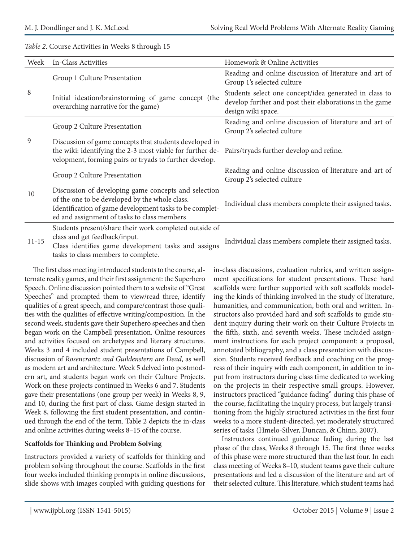#### *Table 2*. Course Activities in Weeks 8 through 15

| Week      | In-Class Activities                                                                                                                                                                                              | Homework & Online Activities                                                                                                            |
|-----------|------------------------------------------------------------------------------------------------------------------------------------------------------------------------------------------------------------------|-----------------------------------------------------------------------------------------------------------------------------------------|
| 8         | Group 1 Culture Presentation                                                                                                                                                                                     | Reading and online discussion of literature and art of<br>Group 1's selected culture                                                    |
|           | Initial ideation/brainstorming of game concept (the<br>overarching narrative for the game)                                                                                                                       | Students select one concept/idea generated in class to<br>develop further and post their elaborations in the game<br>design wiki space. |
|           | Group 2 Culture Presentation                                                                                                                                                                                     | Reading and online discussion of literature and art of<br>Group 2's selected culture                                                    |
| 9         | Discussion of game concepts that students developed in<br>the wiki: identifying the 2-3 most viable for further de-<br>velopment, forming pairs or tryads to further develop.                                    | Pairs/tryads further develop and refine.                                                                                                |
|           | Group 2 Culture Presentation                                                                                                                                                                                     | Reading and online discussion of literature and art of<br>Group 2's selected culture                                                    |
| 10        | Discussion of developing game concepts and selection<br>of the one to be developed by the whole class.<br>Identification of game development tasks to be complet-<br>ed and assignment of tasks to class members | Individual class members complete their assigned tasks.                                                                                 |
| $11 - 15$ | Students present/share their work completed outside of<br>class and get feedback/input.<br>Class identifies game development tasks and assigns<br>tasks to class members to complete.                            | Individual class members complete their assigned tasks.                                                                                 |

The first class meeting introduced students to the course, alternate reality games, and their first assignment: the Superhero Speech. Online discussion pointed them to a website of "Great Speeches" and prompted them to view/read three, identify qualities of a great speech, and compare/contrast those qualities with the qualities of effective writing/composition. In the second week, students gave their Superhero speeches and then began work on the Campbell presentation. Online resources and activities focused on archetypes and literary structures. Weeks 3 and 4 included student presentations of Campbell, discussion of *Rosencrantz and Guildenstern are Dead*, as well as modern art and architecture. Week 5 delved into postmodern art, and students began work on their Culture Projects. Work on these projects continued in Weeks 6 and 7. Students gave their presentations (one group per week) in Weeks 8, 9, and 10, during the first part of class. Game design started in Week 8, following the first student presentation, and continued through the end of the term. Table 2 depicts the in-class and online activities during weeks 8–15 of the course.

#### **Scaffolds for Thinking and Problem Solving**

Instructors provided a variety of scaffolds for thinking and problem solving throughout the course. Scaffolds in the first four weeks included thinking prompts in online discussions, slide shows with images coupled with guiding questions for in-class discussions, evaluation rubrics, and written assignment specifications for student presentations. These hard scaffolds were further supported with soft scaffolds modeling the kinds of thinking involved in the study of literature, humanities, and communication, both oral and written. Instructors also provided hard and soft scaffolds to guide student inquiry during their work on their Culture Projects in the fifth, sixth, and seventh weeks. These included assignment instructions for each project component: a proposal, annotated bibliography, and a class presentation with discussion. Students received feedback and coaching on the progress of their inquiry with each component, in addition to input from instructors during class time dedicated to working on the projects in their respective small groups. However, instructors practiced "guidance fading" during this phase of the course, facilitating the inquiry process, but largely transitioning from the highly structured activities in the first four weeks to a more student-directed, yet moderately structured series of tasks (Hmelo-Silver, Duncan, & Chinn, 2007).

Instructors continued guidance fading during the last phase of the class, Weeks 8 through 15. The first three weeks of this phase were more structured than the last four. In each class meeting of Weeks 8–10, student teams gave their culture presentations and led a discussion of the literature and art of their selected culture. This literature, which student teams had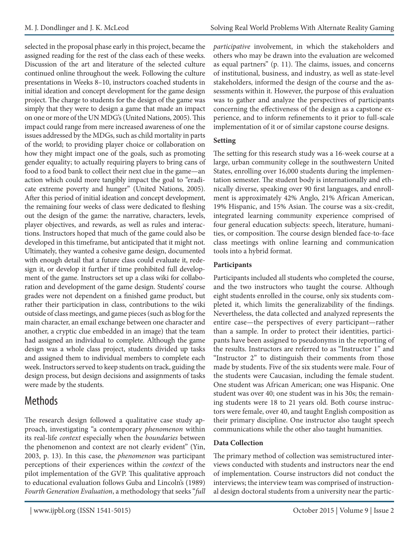selected in the proposal phase early in this project, became the assigned reading for the rest of the class each of these weeks. Discussion of the art and literature of the selected culture continued online throughout the week. Following the culture presentations in Weeks 8–10, instructors coached students in initial ideation and concept development for the game design project. The charge to students for the design of the game was simply that they were to design a game that made an impact on one or more of the UN MDG's (United Nations, 2005). This impact could range from mere increased awareness of one the issues addressed by the MDGs, such as child mortality in parts of the world; to providing player choice or collaboration on how they might impact one of the goals, such as promoting gender equality; to actually requiring players to bring cans of food to a food bank to collect their next clue in the game—an action which could more tangibly impact the goal to "eradicate extreme poverty and hunger" (United Nations, 2005). After this period of initial ideation and concept development, the remaining four weeks of class were dedicated to fleshing out the design of the game: the narrative, characters, levels, player objectives, and rewards, as well as rules and interactions. Instructors hoped that much of the game could also be developed in this timeframe, but anticipated that it might not. Ultimately, they wanted a cohesive game design, documented with enough detail that a future class could evaluate it, redesign it, or develop it further if time prohibited full development of the game. Instructors set up a class wiki for collaboration and development of the game design. Students' course grades were not dependent on a finished game product, but rather their participation in class, contributions to the wiki outside of class meetings, and game pieces (such as blog for the main character, an email exchange between one character and another, a cryptic clue embedded in an image) that the team had assigned an individual to complete. Although the game design was a whole class project, students divided up tasks and assigned them to individual members to complete each week. Instructors served to keep students on track, guiding the design process, but design decisions and assignments of tasks were made by the students.

# Methods

The research design followed a qualitative case study approach, investigating "a contemporary *phenomenon* within its real-life *context* especially when the *boundaries* between the phenomenon and context are not clearly evident" (Yin, 2003, p. 13). In this case, the *phenomenon* was participant perceptions of their experiences within the *context* of the pilot implementation of the GVP. This qualitative approach to educational evaluation follows Guba and Lincoln's (1989) *Fourth Generation Evaluation*, a methodology that seeks "*full* 

*participative* involvement, in which the stakeholders and others who may be drawn into the evaluation are welcomed as equal partners" (p. 11). The claims, issues, and concerns of institutional, business, and industry, as well as state-level stakeholders, informed the design of the course and the assessments within it. However, the purpose of this evaluation was to gather and analyze the perspectives of participants concerning the effectiveness of the design as a capstone experience, and to inform refinements to it prior to full-scale implementation of it or of similar capstone course designs.

#### **Setting**

The setting for this research study was a 16-week course at a large, urban community college in the southwestern United States, enrolling over 16,000 students during the implementation semester. The student body is internationally and ethnically diverse, speaking over 90 first languages, and enrollment is approximately 42% Anglo, 21% African American, 19% Hispanic, and 15% Asian. The course was a six-credit, integrated learning community experience comprised of four general education subjects: speech, literature, humanities, or composition. The course design blended face-to-face class meetings with online learning and communication tools into a hybrid format.

### **Participants**

Participants included all students who completed the course, and the two instructors who taught the course. Although eight students enrolled in the course, only six students completed it, which limits the generalizability of the findings. Nevertheless, the data collected and analyzed represents the entire case—the perspectives of every participant—rather than a sample. In order to protect their identities, participants have been assigned to pseudonyms in the reporting of the results. Instructors are referred to as "Instructor 1" and "Instructor 2" to distinguish their comments from those made by students. Five of the six students were male. Four of the students were Caucasian, including the female student. One student was African American; one was Hispanic. One student was over 40; one student was in his 30s; the remaining students were 18 to 21 years old. Both course instructors were female, over 40, and taught English composition as their primary discipline. One instructor also taught speech communications while the other also taught humanities.

### **Data Collection**

The primary method of collection was semistructured interviews conducted with students and instructors near the end of implementation. Course instructors did not conduct the interviews; the interview team was comprised of instructional design doctoral students from a university near the partic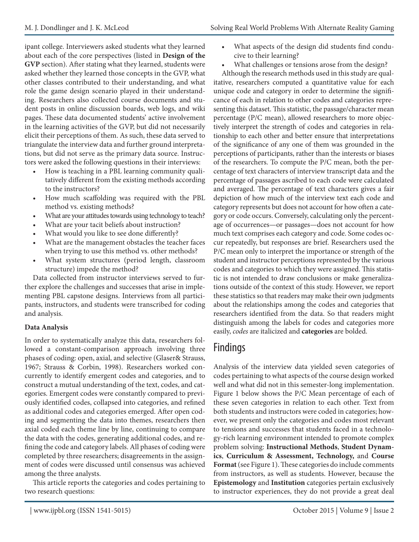ipant college. Interviewers asked students what they learned about each of the core perspectives (listed in **Design of the GVP** section). After stating what they learned, students were asked whether they learned those concepts in the GVP, what other classes contributed to their understanding, and what role the game design scenario played in their understanding. Researchers also collected course documents and student posts in online discussion boards, web logs, and wiki pages. These data documented students' active involvement in the learning activities of the GVP, but did not necessarily elicit their perceptions of them. As such, these data served to triangulate the interview data and further ground interpretations, but did not serve as the primary data source. Instructors were asked the following questions in their interviews:

- How is teaching in a PBL learning community qualitatively different from the existing methods according to the instructors?
- How much scaffolding was required with the PBL method vs. existing methods?
- What are your attitudes towards using technology to teach?
- What are your tacit beliefs about instruction?
- What would you like to see done differently?
- What are the management obstacles the teacher faces when trying to use this method vs. other methods?
- What system structures (period length, classroom structure) impede the method?

Data collected from instructor interviews served to further explore the challenges and successes that arise in implementing PBL capstone designs. Interviews from all participants, instructors, and students were transcribed for coding and analysis.

#### **Data Analysis**

In order to systematically analyze this data, researchers followed a constant-comparison approach involving three phases of coding: open, axial, and selective (Glaser& Strauss, 1967; Strauss & Corbin, 1998). Researchers worked concurrently to identify emergent codes and categories, and to construct a mutual understanding of the text, codes, and categories. Emergent codes were constantly compared to previously identified codes, collapsed into categories, and refined as additional codes and categories emerged. After open coding and segmenting the data into themes, researchers then axial coded each theme line by line, continuing to compare the data with the codes, generating additional codes, and refining the code and category labels. All phases of coding were completed by three researchers; disagreements in the assignment of codes were discussed until consensus was achieved among the three analysts.

This article reports the categories and codes pertaining to two research questions:

- What aspects of the design did students find conducive to their learning?
- What challenges or tensions arose from the design?

Although the research methods used in this study are qualitative, researchers computed a quantitative value for each unique code and category in order to determine the significance of each in relation to other codes and categories representing this dataset. This statistic, the passage/character mean percentage (P/C mean), allowed researchers to more objectively interpret the strength of codes and categories in relationship to each other and better ensure that interpretations of the significance of any one of them was grounded in the perceptions of participants, rather than the interests or biases of the researchers. To compute the P/C mean, both the percentage of text characters of interview transcript data and the percentage of passages ascribed to each code were calculated and averaged. The percentage of text characters gives a fair depiction of how much of the interview text each code and category represents but does not account for how often a category or code occurs. Conversely, calculating only the percentage of occurrences—or passages—does not account for how much text comprises each category and code. Some codes occur repeatedly, but responses are brief. Researchers used the P/C mean only to interpret the importance or strength of the student and instructor perceptions represented by the various codes and categories to which they were assigned. This statistic is not intended to draw conclusions or make generalizations outside of the context of this study. However, we report these statistics so that readers may make their own judgments about the relationships among the codes and categories that researchers identified from the data. So that readers might distinguish among the labels for codes and categories more easily, *codes* are italicized and **categories** are bolded.

## Findings

Analysis of the interview data yielded seven categories of codes pertaining to what aspects of the course design worked well and what did not in this semester-long implementation. Figure 1 below shows the P/C Mean percentage of each of these seven categories in relation to each other. Text from both students and instructors were coded in categories; however, we present only the categories and codes most relevant to tensions and successes that students faced in a technology-rich learning environment intended to promote complex problem solving: **Instructional Methods**, **Student Dynamics**, **Curriculum & Assessment, Technology,** and **Course Format** (see Figure 1). These categories do include comments from instructors, as well as students. However, because the **Epistemology** and **Institution** categories pertain exclusively to instructor experiences, they do not provide a great deal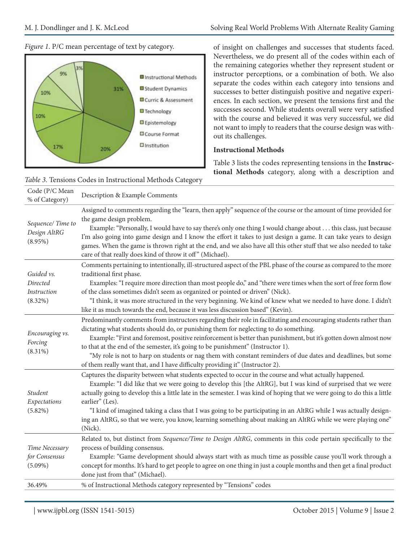#### *Figure 1*. P/C mean percentage of text by category.



*Table 3.* Tensions Codes in Instructional Methods Category

of insight on challenges and successes that students faced. Nevertheless, we do present all of the codes within each of the remaining categories whether they represent student or instructor perceptions, or a combination of both. We also separate the codes within each category into tensions and successes to better distinguish positive and negative experiences. In each section, we present the tensions first and the successes second. While students overall were very satisfied with the course and believed it was very successful, we did not want to imply to readers that the course design was without its challenges.

#### **Instructional Methods**

Table 3 lists the codes representing tensions in the **Instructional Methods** category, along with a description and

| Code (P/C Mean<br>% of Category)                           | Description & Example Comments                                                                                                                                                                                                                                                                                                                                                                                                                                                                                                                                                                                           |
|------------------------------------------------------------|--------------------------------------------------------------------------------------------------------------------------------------------------------------------------------------------------------------------------------------------------------------------------------------------------------------------------------------------------------------------------------------------------------------------------------------------------------------------------------------------------------------------------------------------------------------------------------------------------------------------------|
| Sequence/Time to<br>Design AltRG<br>$(8.95\%)$             | Assigned to comments regarding the "learn, then apply" sequence of the course or the amount of time provided for<br>the game design problem.<br>Example: "Personally, I would have to say there's only one thing I would change about this class, just because<br>I'm also going into game design and I know the effort it takes to just design a game. It can take years to design<br>games. When the game is thrown right at the end, and we also have all this other stuff that we also needed to take<br>care of that really does kind of throw it off" (Michael).                                                   |
| Guided vs.<br>Directed<br><i>Instruction</i><br>$(8.32\%)$ | Comments pertaining to intentionally, ill-structured aspect of the PBL phase of the course as compared to the more<br>traditional first phase.<br>Examples: "I require more direction than most people do," and "there were times when the sort of free form flow<br>of the class sometimes didn't seem as organized or pointed or driven" (Nick).<br>"I think, it was more structured in the very beginning. We kind of knew what we needed to have done. I didn't<br>like it as much towards the end, because it was less discussion based" (Kevin).                                                                   |
| Encouraging vs.<br>Forcing<br>$(8.31\%)$                   | Predominantly comments from instructors regarding their role in facilitating and encouraging students rather than<br>dictating what students should do, or punishing them for neglecting to do something.<br>Example: "First and foremost, positive reinforcement is better than punishment, but it's gotten down almost now<br>to that at the end of the semester, it's going to be punishment" (Instructor 1).<br>"My role is not to harp on students or nag them with constant reminders of due dates and deadlines, but some<br>of them really want that, and I have difficulty providing it" (Instructor 2).        |
| Student<br>Expectations<br>$(5.82\%)$                      | Captures the disparity between what students expected to occur in the course and what actually happened.<br>Example: "I did like that we were going to develop this [the AltRG], but I was kind of surprised that we were<br>actually going to develop this a little late in the semester. I was kind of hoping that we were going to do this a little<br>earlier" (Les).<br>"I kind of imagined taking a class that I was going to be participating in an AltRG while I was actually design-<br>ing an AltRG, so that we were, you know, learning something about making an AltRG while we were playing one"<br>(Nick). |
| Time Necessary<br>for Consensus<br>$(5.09\%)$              | Related to, but distinct from Sequence/Time to Design AltRG, comments in this code pertain specifically to the<br>process of building consensus.<br>Example: "Game development should always start with as much time as possible cause you'll work through a<br>concept for months. It's hard to get people to agree on one thing in just a couple months and then get a final product<br>done just from that" (Michael).                                                                                                                                                                                                |
| 36.49%                                                     | % of Instructional Methods category represented by "Tensions" codes                                                                                                                                                                                                                                                                                                                                                                                                                                                                                                                                                      |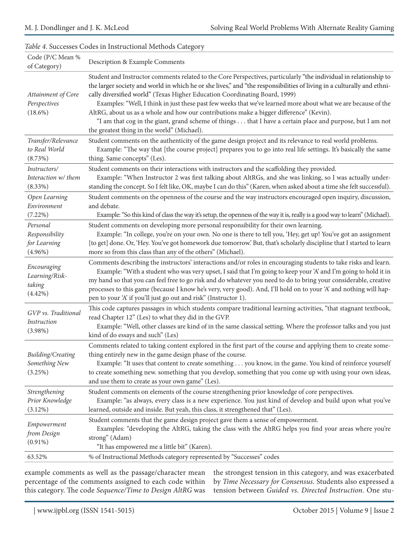| Code (P/C Mean %<br>of Category)                                   | Description & Example Comments                                                                                                                                                                                                                                                                                                                                                                                                                                                                                                                                                                                                                                                                     |
|--------------------------------------------------------------------|----------------------------------------------------------------------------------------------------------------------------------------------------------------------------------------------------------------------------------------------------------------------------------------------------------------------------------------------------------------------------------------------------------------------------------------------------------------------------------------------------------------------------------------------------------------------------------------------------------------------------------------------------------------------------------------------------|
| Attainment of Core<br>Perspectives<br>$(18.6\%)$                   | Student and Instructor comments related to the Core Perspectives, particularly "the individual in relationship to<br>the larger society and world in which he or she lives," and "the responsibilities of living in a culturally and ethni-<br>cally diversified world" (Texas Higher Education Coordinating Board, 1999)<br>Examples: "Well, I think in just these past few weeks that we've learned more about what we are because of the<br>AltRG, about us as a whole and how our contributions make a bigger difference" (Kevin).<br>"I am that cog in the giant, grand scheme of things that I have a certain place and purpose, but I am not<br>the greatest thing in the world" (Michael). |
| Transfer/Relevance<br>to Real World<br>(8.73%)                     | Student comments on the authenticity of the game design project and its relevance to real world problems.<br>Example: "The way that [the course project] prepares you to go into real life settings. It's basically the same<br>thing. Same concepts" (Les).                                                                                                                                                                                                                                                                                                                                                                                                                                       |
| Instructors/<br>Interaction w/ them<br>$(8.33\%)$<br>Open Learning | Student comments on their interactions with instructors and the scaffolding they provided.<br>Example: "When Instructor 2 was first talking about AltRGs, and she was linking, so I was actually under-<br>standing the concept. So I felt like, OK, maybe I can do this" (Karen, when asked about a time she felt successful).<br>Student comments on the openness of the course and the way instructors encouraged open inquiry, discussion,                                                                                                                                                                                                                                                     |
| Environment<br>(7.22%)                                             | and debate.<br>Example: "So this kind of class the way it's setup, the openness of the way it is, really is a good way to learn" (Michael).                                                                                                                                                                                                                                                                                                                                                                                                                                                                                                                                                        |
| Personal<br>Responsibility<br>for Learning<br>$(4.96\%)$           | Student comments on developing more personal responsibility for their own learning.<br>Example: "In college, you're on your own. No one is there to tell you, 'Hey, get up! You've got an assignment<br>[to get] done. Or, 'Hey. You've got homework due tomorrow'. But, that's scholarly discipline that I started to learn<br>more so from this class than any of the others" (Michael).                                                                                                                                                                                                                                                                                                         |
| Encouraging<br>Learning/Risk-<br>taking<br>$(4.42\%)$              | Comments describing the instructors' interactions and/or roles in encouraging students to take risks and learn.<br>Example: "With a student who was very upset, I said that I'm going to keep your 'A' and I'm going to hold it in<br>my hand so that you can feel free to go risk and do whatever you need to do to bring your considerable, creative<br>processes to this game (because I know he's very, very good). And, I'll hold on to your 'A' and nothing will hap-<br>pen to your 'A' if you'll just go out and risk" (Instructor 1).                                                                                                                                                     |
| GVP vs. Traditional<br>Instruction<br>$(3.98\%)$                   | This code captures passages in which students compare traditional learning activities, "that stagnant textbook,<br>read Chapter 12" (Les) to what they did in the GVP.<br>Example: "Well, other classes are kind of in the same classical setting. Where the professor talks and you just<br>kind of do essays and such" (Les)                                                                                                                                                                                                                                                                                                                                                                     |
| Building/Creating<br>Something New<br>(3.25%)                      | Comments related to taking content explored in the first part of the course and applying them to create some-<br>thing entirely new in the game design phase of the course.<br>Example: "It uses that content to create something you know, in the game. You kind of reinforce yourself<br>to create something new. something that you develop, something that you come up with using your own ideas,<br>and use them to create as your own game" (Les).                                                                                                                                                                                                                                           |
| Strengthening<br>Prior Knowledge<br>$(3.12\%)$                     | Student comments on elements of the course strengthening prior knowledge of core perspectives.<br>Example: "as always, every class is a new experience. You just kind of develop and build upon what you've<br>learned, outside and inside. But yeah, this class, it strengthened that" (Les).                                                                                                                                                                                                                                                                                                                                                                                                     |
| Empowerment<br>from Design<br>$(0.91\%)$                           | Student comments that the game design project gave them a sense of empowerment.<br>Examples: "developing the AltRG, taking the class with the AltRG helps you find your areas where you're<br>strong" (Adam)<br>"It has empowered me a little bit" (Karen).                                                                                                                                                                                                                                                                                                                                                                                                                                        |
| 63.52%                                                             | % of Instructional Methods category represented by "Successes" codes                                                                                                                                                                                                                                                                                                                                                                                                                                                                                                                                                                                                                               |

#### *Table 4*. Successes Codes in Instructional Methods Category

example comments as well as the passage/character mean percentage of the comments assigned to each code within this category. The code *Sequence/Time to Design AltRG* was the strongest tension in this category, and was exacerbated by *Time Necessary for Consensus*. Students also expressed a tension between *Guided vs. Directed Instruction*. One stu-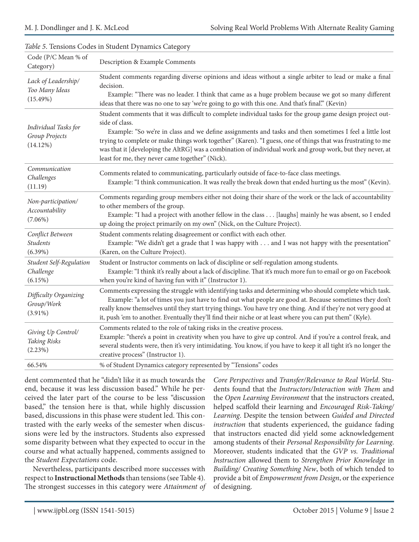| Code (P/C Mean % of<br>Category)                       | Description & Example Comments                                                                                                                                                                                                                                                                                                                                                                                                                                                                                           |
|--------------------------------------------------------|--------------------------------------------------------------------------------------------------------------------------------------------------------------------------------------------------------------------------------------------------------------------------------------------------------------------------------------------------------------------------------------------------------------------------------------------------------------------------------------------------------------------------|
| Lack of Leadership/<br>Too Many Ideas<br>(15.49%)      | Student comments regarding diverse opinions and ideas without a single arbiter to lead or make a final<br>decision.<br>Example: "There was no leader. I think that came as a huge problem because we got so many different<br>ideas that there was no one to say 'we're going to go with this one. And that's final." (Kevin)                                                                                                                                                                                            |
| Individual Tasks for<br>Group Projects<br>(14.12%)     | Student comments that it was difficult to complete individual tasks for the group game design project out-<br>side of class.<br>Example: "So we're in class and we define assignments and tasks and then sometimes I feel a little lost<br>trying to complete or make things work together" (Karen). "I guess, one of things that was frustrating to me<br>was that it [developing the AltRG] was a combination of individual work and group work, but they never, at<br>least for me, they never came together" (Nick). |
| Communication<br>Challenges<br>(11.19)                 | Comments related to communicating, particularly outside of face-to-face class meetings.<br>Example: "I think communication. It was really the break down that ended hurting us the most" (Kevin).                                                                                                                                                                                                                                                                                                                        |
| Non-participation/<br>Accountability<br>$(7.06\%)$     | Comments regarding group members either not doing their share of the work or the lack of accountability<br>to other members of the group.<br>Example: "I had a project with another fellow in the class [laughs] mainly he was absent, so I ended<br>up doing the project primarily on my own" (Nick, on the Culture Project).                                                                                                                                                                                           |
| Conflict Between<br><b>Students</b><br>$(6.39\%)$      | Student comments relating disagreement or conflict with each other.<br>Example: "We didn't get a grade that I was happy with and I was not happy with the presentation"<br>(Karen, on the Culture Project).                                                                                                                                                                                                                                                                                                              |
| <b>Student Self-Regulation</b><br>Challenge<br>(6.15%) | Student or Instructor comments on lack of discipline or self-regulation among students.<br>Example: "I think it's really about a lack of discipline. That it's much more fun to email or go on Facebook<br>when you're kind of having fun with it" (Instructor 1).                                                                                                                                                                                                                                                       |
| Difficulty Organizing<br>Group/Work<br>$(3.91\%)$      | Comments expressing the struggle with identifying tasks and determining who should complete which task.<br>Example: "a lot of times you just have to find out what people are good at. Because sometimes they don't<br>really know themselves until they start trying things. You have try one thing. And if they're not very good at<br>it, push 'em to another. Eventually they'll find their niche or at least where you can put them" (Kyle).                                                                        |
| Giving Up Control/<br>Taking Risks<br>(2.23%)          | Comments related to the role of taking risks in the creative process.<br>Example: "there's a point in creativity when you have to give up control. And if you're a control freak, and<br>several students were, then it's very intimidating. You know, if you have to keep it all tight it's no longer the<br>creative process" (Instructor 1).                                                                                                                                                                          |
| 66.54%                                                 | % of Student Dynamics category represented by "Tensions" codes                                                                                                                                                                                                                                                                                                                                                                                                                                                           |

### *Table 5*. Tensions Codes in Student Dynamics Category

dent commented that he "didn't like it as much towards the end, because it was less discussion based." While he perceived the later part of the course to be less "discussion based," the tension here is that, while highly discussion based, discussions in this phase were student led. This contrasted with the early weeks of the semester when discussions were led by the instructors. Students also expressed some disparity between what they expected to occur in the course and what actually happened, comments assigned to the *Student Expectations* code.

Nevertheless, participants described more successes with respect to **Instructional Methods** than tensions (see Table 4). The strongest successes in this category were *Attainment of* 

*Core Perspectives* and *Transfer/Relevance to Real World*. Students found that the *Instructors/Interaction with Them* and the *Open Learning Environment* that the instructors created, helped scaffold their learning and *Encouraged Risk-Taking/ Learning*. Despite the tension between *Guided and Directed instruction* that students experienced, the guidance fading that instructors enacted did yield some acknowledgement among students of their *Personal Responsibility for Learning*. Moreover, students indicated that the *GVP vs. Traditional Instruction* allowed them to *Strengthen Prior Knowledge* in *Building/ Creating Something New*, both of which tended to provide a bit of *Empowerment from Design*, or the experience of designing.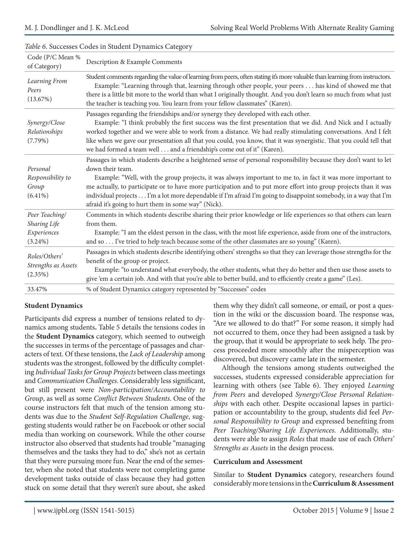| Code (P/C Mean %<br>of Category)                            | Description & Example Comments                                                                                                                                                                                                                                                                                                                                                                                                                                                                                                                    |
|-------------------------------------------------------------|---------------------------------------------------------------------------------------------------------------------------------------------------------------------------------------------------------------------------------------------------------------------------------------------------------------------------------------------------------------------------------------------------------------------------------------------------------------------------------------------------------------------------------------------------|
| Learning From<br>Peers<br>(13.67%)                          | Student comments regarding the value of learning from peers, often stating it's more valuable than learning from instructors.<br>Example: "Learning through that, learning through other people, your peers has kind of showed me that<br>there is a little bit more to the world than what I originally thought. And you don't learn so much from what just<br>the teacher is teaching you. You learn from your fellow classmates" (Karen).                                                                                                      |
| Synergy/Close<br>Relationships<br>(7.79%)                   | Passages regarding the friendships and/or synergy they developed with each other.<br>Example: "I think probably the first success was the first presentation that we did. And Nick and I actually<br>worked together and we were able to work from a distance. We had really stimulating conversations. And I felt<br>like when we gave our presentation all that you could, you know, that it was synergistic. That you could tell that<br>we had formed a team well and a friendship's come out of it" (Karen).                                 |
| Personal<br>Responsibility to<br>Group<br>$(6.41\%)$        | Passages in which students describe a heightened sense of personal responsibility because they don't want to let<br>down their team.<br>Example: "Well, with the group projects, it was always important to me to, in fact it was more important to<br>me actually, to participate or to have more participation and to put more effort into group projects than it was<br>individual projects I'm a lot more dependable if I'm afraid I'm going to disappoint somebody, in a way that I'm<br>afraid it's going to hurt them in some way" (Nick). |
| Peer Teaching/<br>Sharing Life<br>Experiences<br>$(3.24\%)$ | Comments in which students describe sharing their prior knowledge or life experiences so that others can learn<br>from them.<br>Example: "I am the eldest person in the class, with the most life experience, aside from one of the instructors,<br>and so I've tried to help teach because some of the other classmates are so young" (Karen).                                                                                                                                                                                                   |
| Roles/Others'<br>Strengths as Assets<br>(2.35%)             | Passages in which students describe identifying others' strengths so that they can leverage those strengths for the<br>benefit of the group or project.<br>Example: "to understand what everybody, the other students, what they do better and then use those assets to<br>give 'em a certain job. And with that you're able to better build, and to efficiently create a game" (Les).                                                                                                                                                            |
| 33.47%                                                      | % of Student Dynamics category represented by "Successes" codes                                                                                                                                                                                                                                                                                                                                                                                                                                                                                   |

#### *Table 6*. Successes Codes in Student Dynamics Category

#### **Student Dynamics**

Participants did express a number of tensions related to dynamics among students**.** Table 5 details the tensions codes in the **Student Dynamics** category, which seemed to outweigh the successes in terms of the percentage of passages and characters of text. Of these tensions, the *Lack of Leadership* among students was the strongest, followed by the difficulty completing *Individual Tasks for Group Projects* between class meetings and *Communication Challenges*. Considerably less significant, but still present were *Non-participation/Accountability to Group*, as well as some *Conflict Between Students*. One of the course instructors felt that much of the tension among students was due to the *Student Self-Regulation Challenge*, suggesting students would rather be on Facebook or other social media than working on coursework. While the other course instructor also observed that students had trouble "managing themselves and the tasks they had to do," she's not as certain that they were pursuing more fun. Near the end of the semester, when she noted that students were not completing game development tasks outside of class because they had gotten stuck on some detail that they weren't sure about, she asked them why they didn't call someone, or email, or post a question in the wiki or the discussion board. The response was, "Are we allowed to do that?" For some reason, it simply had not occurred to them, once they had been assigned a task by the group, that it would be appropriate to seek help. The process proceeded more smoothly after the misperception was discovered, but discovery came late in the semester.

Although the tensions among students outweighed the successes, students expressed considerable appreciation for learning with others (see Table 6). They enjoyed *Learning from Peers* and developed *Synergy/Close Personal Relationships* with each other. Despite occasional lapses in participation or accountability to the group, students did feel *Personal Responsibility to Group* and expressed benefiting from *Peer Teaching/Sharing Life Experiences*. Additionally, students were able to assign *Roles* that made use of each *Others' Strengths as Assets* in the design process.

#### **Curriculum and Assessment**

Similar to **Student Dynamics** category, researchers found considerably more tensions in the **Curriculum & Assessment**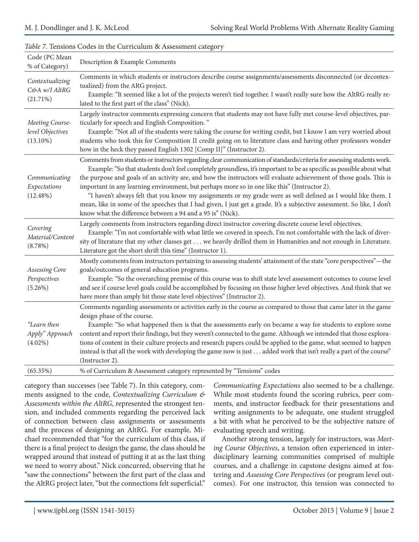| Code (PC Mean<br>% of Category)                    | Description & Example Comments                                                                                                                                                                                                                                                                                                                                                                                                                                                                                                                                                                                                                                                                                                                                                 |
|----------------------------------------------------|--------------------------------------------------------------------------------------------------------------------------------------------------------------------------------------------------------------------------------------------------------------------------------------------------------------------------------------------------------------------------------------------------------------------------------------------------------------------------------------------------------------------------------------------------------------------------------------------------------------------------------------------------------------------------------------------------------------------------------------------------------------------------------|
| Contextualizing<br>C&A w/I AltRG<br>(21.71%)       | Comments in which students or instructors describe course assignments/assessments disconnected (or decontex-<br>tualized) from the ARG project.<br>Example: "It seemed like a lot of the projects weren't tied together. I wasn't really sure how the AltRG really re-<br>lated to the first part of the class" (Nick).                                                                                                                                                                                                                                                                                                                                                                                                                                                        |
| Meeting Course-<br>level Objectives<br>$(13.10\%)$ | Largely instructor comments expressing concern that students may not have fully met course-level objectives, par-<br>ticularly for speech and English Composition. "<br>Example: "Not all of the students were taking the course for writing credit, but I know I am very worried about<br>students who took this for Composition II credit going on to literature class and having other professors wonder<br>how in the heck they passed English 1302 [Comp II]" (Instructor 2).                                                                                                                                                                                                                                                                                             |
| Communicating<br>Expectations<br>(12.48%)          | Comments from students or instructors regarding clear communication of standards/criteria for assessing students work.<br>Example: "So that students don't feel completely groundless, it's important to be as specific as possible about what<br>the purpose and goals of an activity are, and how the instructors will evaluate achievement of those goals. This is<br>important in any learning environment, but perhaps more so in one like this" (Instructor 2).<br>"I haven't always felt that you know my assignments or my grade were as well defined as I would like them. I<br>mean, like in some of the speeches that I had given, I just get a grade. It's a subjective assessment. So like, I don't<br>know what the difference between a 94 and a 95 is" (Nick). |
| Covering<br>Material/Content<br>(8.78%)            | Largely comments from instructors regarding direct instructor covering discrete course level objectives.<br>Example: "I'm not comfortable with what little we covered in speech. I'm not comfortable with the lack of diver-<br>sity of literature that my other classes get we heavily drilled them in Humanities and not enough in Literature.<br>Literature got the short shrift this time" (Instructor 1).                                                                                                                                                                                                                                                                                                                                                                 |
| Assessing Core<br>Perspectives<br>$(5.26\%)$       | Mostly comments from instructors pertaining to assessing students' attainment of the state "core perspectives"—the<br>goals/outcomes of general education programs.<br>Example: "So the overarching premise of this course was to shift state level assessment outcomes to course level<br>and see if course level goals could be accomplished by focusing on those higher level objectives. And think that we<br>have more than amply hit those state level objectives" (Instructor 2).                                                                                                                                                                                                                                                                                       |
| "Learn then<br>Apply" Approach<br>$(4.02\%)$       | Comments regarding assessments or activities early in the course as compared to those that came later in the game<br>design phase of the course.<br>Example: "So what happened then is that the assessments early on became a way for students to explore some<br>content and report their findings, but they weren't connected to the game. Although we intended that those explora-<br>tions of content in their culture projects and research papers could be applied to the game, what seemed to happen<br>instead is that all the work with developing the game now is just added work that isn't really a part of the course"<br>(Instructor 2).                                                                                                                         |
| (65.35%)                                           | % of Curriculum & Assessment category represented by "Tensions" codes                                                                                                                                                                                                                                                                                                                                                                                                                                                                                                                                                                                                                                                                                                          |

#### *Table 7*. Tensions Codes in the Curriculum & Assessment category

category than successes (see Table 7). In this category, comments assigned to the code, *Contextualizing Curriculum & Assessments within the AltRG*, represented the strongest tension, and included comments regarding the perceived lack of connection between class assignments or assessments and the process of designing an AltRG. For example, Michael recommended that "for the curriculum of this class, if there is a final project to design the game, the class should be wrapped around that instead of putting it at as the last thing we need to worry about." Nick concurred, observing that he "saw the connections" between the first part of the class and the AltRG project later, "but the connections felt superficial."

*Communicating Expectations* also seemed to be a challenge. While most students found the scoring rubrics, peer comments, and instructor feedback for their presentations and writing assignments to be adequate, one student struggled a bit with what he perceived to be the subjective nature of evaluating speech and writing.

Another strong tension, largely for instructors, was *Meeting Course Objectives*, a tension often experienced in interdisciplinary learning communities comprised of multiple courses, and a challenge in capstone designs aimed at fostering and *Assessing Core Perspectives* (or program level outcomes). For one instructor, this tension was connected to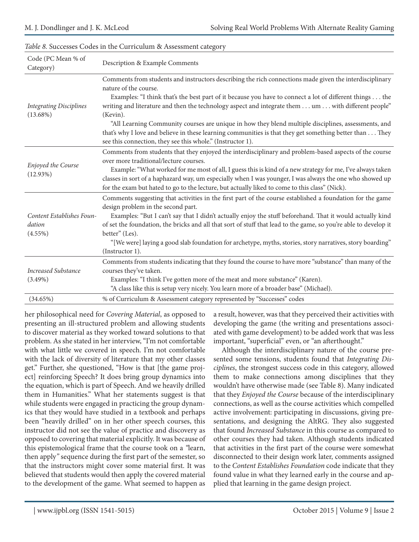| Code (PC Mean % of<br>Category)                   | Description & Example Comments                                                                                                                                                                                                                                                                                                                                                                                                                                                                                                                                                                                                                |  |
|---------------------------------------------------|-----------------------------------------------------------------------------------------------------------------------------------------------------------------------------------------------------------------------------------------------------------------------------------------------------------------------------------------------------------------------------------------------------------------------------------------------------------------------------------------------------------------------------------------------------------------------------------------------------------------------------------------------|--|
| <b>Integrating Disciplines</b><br>$(13.68\%)$     | Comments from students and instructors describing the rich connections made given the interdisciplinary<br>nature of the course.<br>Examples: "I think that's the best part of it because you have to connect a lot of different things the<br>writing and literature and then the technology aspect and integrate them um with different people"<br>(Kevin).<br>"All Learning Community courses are unique in how they blend multiple disciplines, assessments, and<br>that's why I love and believe in these learning communities is that they get something better than They<br>see this connection, they see this whole." (Instructor 1). |  |
| Enjoyed the Course<br>(12.93%)                    | Comments from students that they enjoyed the interdisciplinary and problem-based aspects of the course<br>over more traditional/lecture courses.<br>Example: "What worked for me most of all, I guess this is kind of a new strategy for me, I've always taken<br>classes in sort of a haphazard way, um especially when I was younger, I was always the one who showed up<br>for the exam but hated to go to the lecture, but actually liked to come to this class" (Nick).                                                                                                                                                                  |  |
| Content Establishes Foun-<br>dation<br>$(4.55\%)$ | Comments suggesting that activities in the first part of the course established a foundation for the game<br>design problem in the second part.<br>Examples: "But I can't say that I didn't actually enjoy the stuff beforehand. That it would actually kind<br>of set the foundation, the bricks and all that sort of stuff that lead to the game, so you're able to develop it<br>better" (Les).<br>"[We were] laying a good slab foundation for archetype, myths, stories, story narratives, story boarding"<br>(Instructor 1).                                                                                                            |  |
| Increased Substance<br>$(3.49\%)$<br>(34.65%)     | Comments from students indicating that they found the course to have more "substance" than many of the<br>courses they've taken.<br>Examples: "I think I've gotten more of the meat and more substance" (Karen).<br>"A class like this is setup very nicely. You learn more of a broader base" (Michael).<br>% of Curriculum & Assessment category represented by "Successes" codes                                                                                                                                                                                                                                                           |  |
|                                                   |                                                                                                                                                                                                                                                                                                                                                                                                                                                                                                                                                                                                                                               |  |

#### *Table 8.* Successes Codes in the Curriculum & Assessment category

her philosophical need for *Covering Material*, as opposed to presenting an ill-structured problem and allowing students to discover material as they worked toward solutions to that problem. As she stated in her interview, "I'm not comfortable with what little we covered in speech. I'm not comfortable with the lack of diversity of literature that my other classes get." Further, she questioned, "How is that [the game project] reinforcing Speech? It does bring group dynamics into the equation, which is part of Speech. And we heavily drilled them in Humanities." What her statements suggest is that while students were engaged in practicing the group dynamics that they would have studied in a textbook and perhaps been "heavily drilled" on in her other speech courses, this instructor did not see the value of practice and discovery as opposed to covering that material explicitly. It was because of this epistemological frame that the course took on a *"*learn, then apply*"* sequence during the first part of the semester, so that the instructors might cover some material first. It was believed that students would then apply the covered material to the development of the game. What seemed to happen as a result, however, was that they perceived their activities with developing the game (the writing and presentations associated with game development) to be added work that was less important, "superficial" even, or "an afterthought."

Although the interdisciplinary nature of the course presented some tensions, students found that *Integrating Disciplines*, the strongest success code in this category, allowed them to make connections among disciplines that they wouldn't have otherwise made (see Table 8). Many indicated that they *Enjoyed the Course* because of the interdisciplinary connections, as well as the course activities which compelled active involvement: participating in discussions, giving presentations, and designing the AltRG. They also suggested that found *Increased Substance* in this course as compared to other courses they had taken. Although students indicated that activities in the first part of the course were somewhat disconnected to their design work later, comments assigned to the *Content Establishes Foundation* code indicate that they found value in what they learned early in the course and applied that learning in the game design project.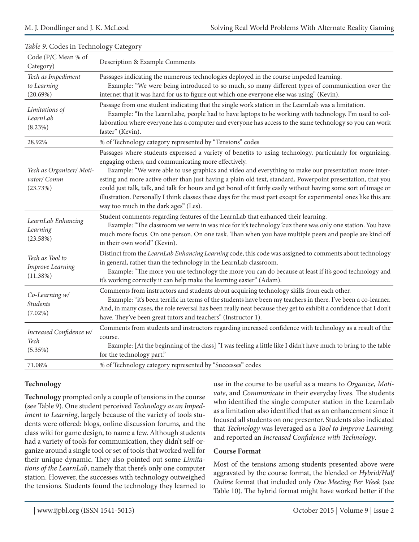|                                                        | ים -----                                                                                                                                                                                                                                                                                                                                                                                                                                                                                                                                                                                                                                                                  |
|--------------------------------------------------------|---------------------------------------------------------------------------------------------------------------------------------------------------------------------------------------------------------------------------------------------------------------------------------------------------------------------------------------------------------------------------------------------------------------------------------------------------------------------------------------------------------------------------------------------------------------------------------------------------------------------------------------------------------------------------|
| Code (P/C Mean % of<br>Category)                       | Description & Example Comments                                                                                                                                                                                                                                                                                                                                                                                                                                                                                                                                                                                                                                            |
| Tech as Impediment<br>to Learning<br>(20.69%)          | Passages indicating the numerous technologies deployed in the course impeded learning.<br>Example: "We were being introduced to so much, so many different types of communication over the<br>internet that it was hard for us to figure out which one everyone else was using" (Kevin).                                                                                                                                                                                                                                                                                                                                                                                  |
| Limitations of<br>LearnLab<br>(8.23%)                  | Passage from one student indicating that the single work station in the LearnLab was a limitation.<br>Example: "In the LearnLabe, people had to have laptops to be working with technology. I'm used to col-<br>laboration where everyone has a computer and everyone has access to the same technology so you can work<br>faster" (Kevin).                                                                                                                                                                                                                                                                                                                               |
| 28.92%                                                 | % of Technology category represented by "Tensions" codes                                                                                                                                                                                                                                                                                                                                                                                                                                                                                                                                                                                                                  |
| Tech as Organizer/ Moti-<br>vator/ Comm<br>(23.73%)    | Passages where students expressed a variety of benefits to using technology, particularly for organizing,<br>engaging others, and communicating more effectively.<br>Example: "We were able to use graphics and video and everything to make our presentation more inter-<br>esting and more active other than just having a plain old text, standard, Powerpoint presentation, that you<br>could just talk, talk, and talk for hours and get bored of it fairly easily without having some sort of image or<br>illustration. Personally I think classes these days for the most part except for experimental ones like this are<br>way too much in the dark ages" (Les). |
| LearnLab Enhancing<br>Learning<br>(23.58%)             | Student comments regarding features of the LearnLab that enhanced their learning.<br>Example: "The classroom we were in was nice for it's technology 'cuz there was only one station. You have<br>much more focus. On one person. On one task. Than when you have multiple peers and people are kind off<br>in their own world" (Kevin).                                                                                                                                                                                                                                                                                                                                  |
| Tech as Tool to<br><b>Improve Learning</b><br>(11.38%) | Distinct from the LearnLab Enhancing Learning code, this code was assigned to comments about technology<br>in general, rather than the technology in the LearnLab classroom.<br>Example: "The more you use technology the more you can do because at least if it's good technology and<br>it's working correctly it can help make the learning easier" (Adam).                                                                                                                                                                                                                                                                                                            |
| Co-Learning w/<br><b>Students</b><br>$(7.02\%)$        | Comments from instructors and students about acquiring technology skills from each other.<br>Example: "it's been terrific in terms of the students have been my teachers in there. I've been a co-learner.<br>And, in many cases, the role reversal has been really neat because they get to exhibit a confidence that I don't<br>have. They've been great tutors and teachers" (Instructor 1).                                                                                                                                                                                                                                                                           |
| Increased Confidence w/<br>Tech<br>(5.35%)             | Comments from students and instructors regarding increased confidence with technology as a result of the<br>course.<br>Example: [At the beginning of the class] "I was feeling a little like I didn't have much to bring to the table<br>for the technology part."                                                                                                                                                                                                                                                                                                                                                                                                        |
| 71.08%                                                 | % of Technology category represented by "Successes" codes                                                                                                                                                                                                                                                                                                                                                                                                                                                                                                                                                                                                                 |

#### *Table 9*. Codes in Technology Category

### **Technology**

**Technology** prompted only a couple of tensions in the course (see Table 9). One student perceived *Technology as an Impediment to Learning*, largely because of the variety of tools students were offered: blogs, online discussion forums, and the class wiki for game design, to name a few. Although students had a variety of tools for communication, they didn't self-organize around a single tool or set of tools that worked well for their unique dynamic. They also pointed out some *Limitations of the LearnLab*, namely that there's only one computer station. However, the successes with technology outweighed the tensions. Students found the technology they learned to use in the course to be useful as a means to *Organize*, *Motivate*, and *Communicate* in their everyday lives. The students who identified the single computer station in the LearnLab as a limitation also identified that as an enhancement since it focused all students on one presenter. Students also indicated that *Technology* was leveraged as a *Tool to Improve Learning,* and reported an *Increased Confidence with Technology*.

#### **Course Format**

Most of the tensions among students presented above were aggravated by the course format, the blended or *Hybrid/Half Online* format that included only *One Meeting Per Week* (see Table 10). The hybrid format might have worked better if the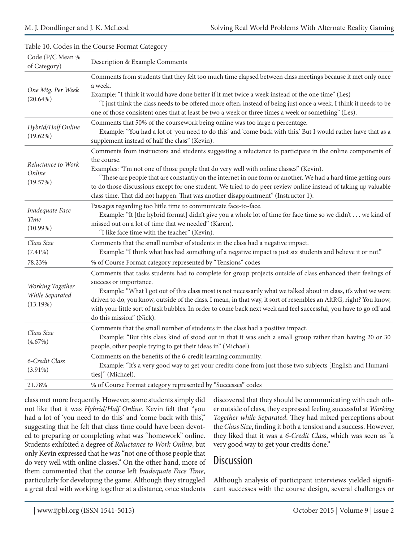| Code (P/C Mean %<br>of Category)                | Description & Example Comments                                                                                                                                                                                                                                                                                                                                                                                                                                                                                                              |
|-------------------------------------------------|---------------------------------------------------------------------------------------------------------------------------------------------------------------------------------------------------------------------------------------------------------------------------------------------------------------------------------------------------------------------------------------------------------------------------------------------------------------------------------------------------------------------------------------------|
| One Mtg. Per Week<br>$(20.64\%)$                | Comments from students that they felt too much time elapsed between class meetings because it met only once<br>a week.<br>Example: "I think it would have done better if it met twice a week instead of the one time" (Les)<br>"I just think the class needs to be offered more often, instead of being just once a week. I think it needs to be<br>one of those consistent ones that at least be two a week or three times a week or something" (Les).                                                                                     |
| Hybrid/Half Online<br>(19.62%)                  | Comments that 50% of the coursework being online was too large a percentage.<br>Example: "You had a lot of 'you need to do this' and 'come back with this.' But I would rather have that as a<br>supplement instead of half the class" (Kevin).                                                                                                                                                                                                                                                                                             |
| Reluctance to Work<br>Online<br>(19.57%)        | Comments from instructors and students suggesting a reluctance to participate in the online components of<br>the course.<br>Examples: "I'm not one of those people that do very well with online classes" (Kevin).<br>"These are people that are constantly on the internet in one form or another. We had a hard time getting ours<br>to do those discussions except for one student. We tried to do peer review online instead of taking up valuable<br>class time. That did not happen. That was another disappointment" (Instructor 1). |
| Inadequate Face<br>Time<br>$(10.99\%)$          | Passages regarding too little time to communicate face-to-face.<br>Example: "It [the hybrid format] didn't give you a whole lot of time for face time so we didn't we kind of<br>missed out on a lot of time that we needed" (Karen).<br>"I like face time with the teacher" (Kevin).                                                                                                                                                                                                                                                       |
| Class Size<br>$(7.41\%)$                        | Comments that the small number of students in the class had a negative impact.<br>Example: "I think what has had something of a negative impact is just six students and believe it or not."                                                                                                                                                                                                                                                                                                                                                |
| 78.23%                                          | % of Course Format category represented by "Tensions" codes                                                                                                                                                                                                                                                                                                                                                                                                                                                                                 |
| Working Together<br>While Separated<br>(13.19%) | Comments that tasks students had to complete for group projects outside of class enhanced their feelings of<br>success or importance.<br>Example: "What I got out of this class most is not necessarily what we talked about in class, it's what we were<br>driven to do, you know, outside of the class. I mean, in that way, it sort of resembles an AltRG, right? You know,<br>with your little sort of task bubbles. In order to come back next week and feel successful, you have to go off and<br>do this mission" (Nick).            |
| Class Size<br>(4.67%)                           | Comments that the small number of students in the class had a positive impact.<br>Example: "But this class kind of stood out in that it was such a small group rather than having 20 or 30<br>people, other people trying to get their ideas in" (Michael).                                                                                                                                                                                                                                                                                 |
| 6-Credit Class<br>$(3.91\%)$                    | Comments on the benefits of the 6-credit learning community.<br>Example: "It's a very good way to get your credits done from just those two subjects [English and Humani-<br>ties]" (Michael).                                                                                                                                                                                                                                                                                                                                              |
| 21.78%                                          | % of Course Format category represented by "Successes" codes                                                                                                                                                                                                                                                                                                                                                                                                                                                                                |

#### Table 10. Codes in the Course Format Category

class met more frequently. However, some students simply did not like that it was *Hybrid/Half Online*. Kevin felt that "you had a lot of 'you need to do this' and 'come back with this," suggesting that he felt that class time could have been devoted to preparing or completing what was "homework" online. Students exhibited a degree of *Reluctance to Work Online*, but only Kevin expressed that he was "not one of those people that do very well with online classes." On the other hand, more of them commented that the course left *Inadequate Face Time*, particularly for developing the game. Although they struggled a great deal with working together at a distance, once students

discovered that they should be communicating with each other outside of class, they expressed feeling successful at *Working Together while Separated*. They had mixed perceptions about the *Class Size*, finding it both a tension and a success. However, they liked that it was a *6-Credit Class*, which was seen as "a very good way to get your credits done."

### **Discussion**

Although analysis of participant interviews yielded significant successes with the course design, several challenges or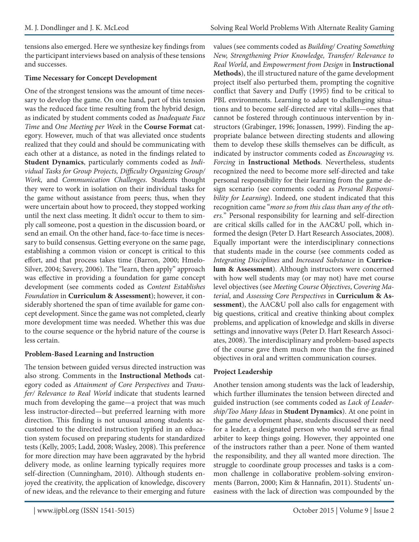tensions also emerged. Here we synthesize key findings from the participant interviews based on analysis of these tensions and successes.

### **Time Necessary for Concept Development**

One of the strongest tensions was the amount of time necessary to develop the game. On one hand, part of this tension was the reduced face time resulting from the hybrid design, as indicated by student comments coded as *Inadequate Face Time* and *One Meeting per Week* in the **Course Format** category. However, much of that was alleviated once students realized that they could and should be communicating with each other at a distance, as noted in the findings related to **Student Dynamics**, particularly comments coded as *Individual Tasks for Group Projects, Difficulty Organizing Group/ Work,* and *Communication Challenges*. Students thought they were to work in isolation on their individual tasks for the game without assistance from peers; thus, when they were uncertain about how to proceed, they stopped working until the next class meeting. It didn't occur to them to simply call someone, post a question in the discussion board, or send an email. On the other hand, face-to-face time is necessary to build consensus. Getting everyone on the same page, establishing a common vision or concept is critical to this effort, and that process takes time (Barron, 2000; Hmelo-Silver, 2004; Savery, 2006). The "learn, then apply" approach was effective in providing a foundation for game concept development (see comments coded as *Content Establishes Foundation* in **Curriculum & Assessment**); however, it considerably shortened the span of time available for game concept development. Since the game was not completed, clearly more development time was needed. Whether this was due to the course sequence or the hybrid nature of the course is less certain.

### **Problem-Based Learning and Instruction**

The tension between guided versus directed instruction was also strong. Comments in the **Instructional Methods** category coded as *Attainment of Core Perspectives* and *Transfer/ Relevance to Real World* indicate that students learned much from developing the game—a project that was much less instructor-directed—but preferred learning with more direction. This finding is not unusual among students accustomed to the directed instruction typified in an education system focused on preparing students for standardized tests (Kelly, 2005; Ladd, 2008; Wasley, 2008). This preference for more direction may have been aggravated by the hybrid delivery mode, as online learning typically requires more self-direction (Cunningham, 2010). Although students enjoyed the creativity, the application of knowledge, discovery of new ideas, and the relevance to their emerging and future

values (see comments coded as *Building/ Creating Something New, Strengthening Prior Knowledge, Transfer/ Relevance to Real World*, and *Empowerment from Design* in **Instructional Methods**), the ill structured nature of the game development project itself also perturbed them, prompting the cognitive conflict that Savery and Duffy (1995) find to be critical to PBL environments. Learning to adapt to challenging situations and to become self-directed are vital skills—ones that cannot be fostered through continuous intervention by instructors (Grabinger, 1996; Jonassen, 1999). Finding the appropriate balance between directing students and allowing them to develop these skills themselves can be difficult, as indicated by instructor comments coded as *Encouraging vs. Forcing* in **Instructional Methods**. Nevertheless, students recognized the need to become more self-directed and take personal responsibility for their learning from the game design scenario (see comments coded as *Personal Responsibility for Learning*). Indeed, one student indicated that this recognition came "*more so from this class than any of the others.*" Personal responsibility for learning and self-direction are critical skills called for in the AAC&U poll, which informed the design (Peter D. Hart Research Associates, 2008). Equally important were the interdisciplinary connections that students made in the course (see comments coded as *Integrating Disciplines* and *Increased Substance* in **Curriculum & Assessment**). Although instructors were concerned with how well students may (or may not) have met course level objectives (see *Meeting Course Objectives*, *Covering Material*, and *Assessing Core Perspectives* in **Curriculum & Assessment**), the AAC&U poll also calls for engagement with big questions, critical and creative thinking about complex problems, and application of knowledge and skills in diverse settings and innovative ways (Peter D. Hart Research Associates, 2008). The interdisciplinary and problem-based aspects of the course gave them much more than the fine-grained objectives in oral and written communication courses.

### **Project Leadership**

Another tension among students was the lack of leadership, which further illuminates the tension between directed and guided instruction (see comments coded as *Lack of Leadership/Too Many Ideas* in **Student Dynamics**). At one point in the game development phase, students discussed their need for a leader, a designated person who would serve as final arbiter to keep things going. However, they appointed one of the instructors rather than a peer. None of them wanted the responsibility, and they all wanted more direction. The struggle to coordinate group processes and tasks is a common challenge in collaborative problem-solving environments (Barron, 2000; Kim & Hannafin, 2011). Students' uneasiness with the lack of direction was compounded by the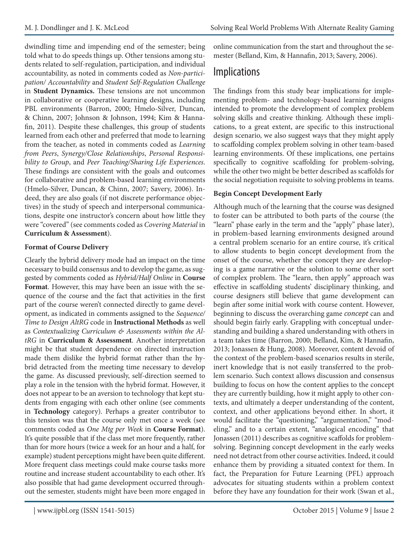dwindling time and impending end of the semester; being told what to do speeds things up. Other tensions among students related to self-regulation, participation, and individual accountability, as noted in comments coded as *Non-participation/ Accountability* and *Student Self-Regulation Challenge*  in **Student Dynamics.** These tensions are not uncommon in collaborative or cooperative learning designs, including PBL environments (Barron, 2000; Hmelo-Silver, Duncan, & Chinn, 2007; Johnson & Johnson, 1994; Kim & Hannafin, 2011). Despite these challenges, this group of students learned from each other and preferred that mode to learning from the teacher, as noted in comments coded as *Learning from Peers*, *Synergy/Close Relationships*, *Personal Responsibility to Group*, and *Peer Teaching/Sharing Life Experiences*. These findings are consistent with the goals and outcomes for collaborative and problem-based learning environments (Hmelo-Silver, Duncan, & Chinn, 2007; Savery, 2006). Indeed, they are also goals (if not discrete performance objectives) in the study of speech and interpersonal communications, despite one instructor's concern about how little they were "covered" (see comments coded as *Covering Material* in **Curriculum & Assessment**).

#### **Format of Course Delivery**

Clearly the hybrid delivery mode had an impact on the time necessary to build consensus and to develop the game, as suggested by comments coded as *Hybrid/Half Online* in **Course Format**. However, this may have been an issue with the sequence of the course and the fact that activities in the first part of the course weren't connected directly to game development, as indicated in comments assigned to the *Sequence/ Time to Design AltRG* code in **Instructional Methods** as well as *Contextualizing Curriculum & Assessments within the AltRG* in **Curriculum & Assessment**. Another interpretation might be that student dependence on directed instruction made them dislike the hybrid format rather than the hybrid detracted from the meeting time necessary to develop the game. As discussed previously, self-direction seemed to play a role in the tension with the hybrid format. However, it does not appear to be an aversion to technology that kept students from engaging with each other online (see comments in **Technology** category). Perhaps a greater contributor to this tension was that the course only met once a week (see comments coded as *One Mtg per Week* in **Course Format**). It's quite possible that if the class met more frequently, rather than for more hours (twice a week for an hour and a half, for example) student perceptions might have been quite different. More frequent class meetings could make course tasks more routine and increase student accountability to each other. It's also possible that had game development occurred throughout the semester, students might have been more engaged in

online communication from the start and throughout the semester (Belland, Kim, & Hannafin, 2013; Savery, 2006).

# Implications

The findings from this study bear implications for implementing problem- and technology-based learning designs intended to promote the development of complex problem solving skills and creative thinking. Although these implications, to a great extent, are specific to this instructional design scenario, we also suggest ways that they might apply to scaffolding complex problem solving in other team-based learning environments. Of these implications, one pertains specifically to cognitive scaffolding for problem-solving, while the other two might be better described as scaffolds for the social negotiation requisite to solving problems in teams.

### **Begin Concept Development Early**

Although much of the learning that the course was designed to foster can be attributed to both parts of the course (the "learn" phase early in the term and the "apply" phase later), in problem-based learning environments designed around a central problem scenario for an entire course, it's critical to allow students to begin concept development from the onset of the course, whether the concept they are developing is a game narrative or the solution to some other sort of complex problem. The "learn, then apply" approach was effective in scaffolding students' disciplinary thinking, and course designers still believe that game development can begin after some initial work with course content. However, beginning to discuss the overarching game *concept* can and should begin fairly early. Grappling with conceptual understanding and building a shared understanding with others in a team takes time (Barron, 2000; Belland, Kim, & Hannafin, 2013; Jonassen & Hung, 2008). Moreover, content devoid of the context of the problem-based scenarios results in sterile, inert knowledge that is not easily transferred to the problem scenario. Such context allows discussion and consensus building to focus on how the content applies to the concept they are currently building, how it might apply to other contexts, and ultimately a deeper understanding of the content, context, and other applications beyond either. In short, it would facilitate the "questioning," "argumentation," "modeling," and to a certain extent, "analogical encoding" that Jonassen (2011) describes as cognitive scaffolds for problemsolving. Beginning concept development in the early weeks need not detract from other course activities. Indeed, it could enhance them by providing a situated context for them. In fact, the Preparation for Future Learning (PFL) approach advocates for situating students within a problem context before they have any foundation for their work (Swan et al.,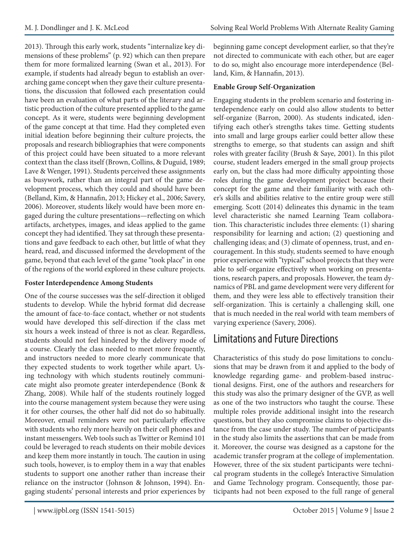2013). Through this early work, students "internalize key dimensions of these problems" (p. 92) which can then prepare them for more formalized learning (Swan et al., 2013). For example, if students had already begun to establish an overarching game concept when they gave their culture presentations, the discussion that followed each presentation could have been an evaluation of what parts of the literary and artistic production of the culture presented applied to the game concept. As it were, students were beginning development of the game concept at that time. Had they completed even initial ideation before beginning their culture projects, the proposals and research bibliographies that were components of this project could have been situated to a more relevant context than the class itself (Brown, Collins, & Duguid, 1989; Lave & Wenger, 1991). Students perceived these assignments as busywork, rather than an integral part of the game development process, which they could and should have been (Belland, Kim, & Hannafin, 2013; Hickey et al., 2006; Savery, 2006). Moreover, students likely would have been more engaged during the culture presentations—reflecting on which artifacts, archetypes, images, and ideas applied to the game concept they had identified. They sat through these presentations and gave feedback to each other, but little of what they heard, read, and discussed informed the development of the game, beyond that each level of the game "took place" in one of the regions of the world explored in these culture projects.

#### **Foster Interdependence Among Students**

One of the course successes was the self-direction it obliged students to develop. While the hybrid format did decrease the amount of face-to-face contact, whether or not students would have developed this self-direction if the class met six hours a week instead of three is not as clear. Regardless, students should not feel hindered by the delivery mode of a course. Clearly the class needed to meet more frequently, and instructors needed to more clearly communicate that they expected students to work together while apart. Using technology with which students routinely communicate might also promote greater interdependence (Bonk & Zhang, 2008). While half of the students routinely logged into the course management system because they were using it for other courses, the other half did not do so habitually. Moreover, email reminders were not particularly effective with students who rely more heavily on their cell phones and instant messengers. Web tools such as Twitter or Remind 101 could be leveraged to reach students on their mobile devices and keep them more instantly in touch. The caution in using such tools, however, is to employ them in a way that enables students to support one another rather than increase their reliance on the instructor (Johnson & Johnson, 1994). Engaging students' personal interests and prior experiences by

beginning game concept development earlier, so that they're not directed to communicate with each other, but are eager to do so, might also encourage more interdependence (Belland, Kim, & Hannafin, 2013).

### **Enable Group Self-Organization**

Engaging students in the problem scenario and fostering interdependence early on could also allow students to better self-organize (Barron, 2000). As students indicated, identifying each other's strengths takes time. Getting students into small and large groups earlier could better allow these strengths to emerge, so that students can assign and shift roles with greater facility (Brush & Saye, 2001). In this pilot course, student leaders emerged in the small group projects early on, but the class had more difficulty appointing those roles during the game development project because their concept for the game and their familiarity with each other's skills and abilities relative to the entire group were still emerging. Scott (2014) delineates this dynamic in the team level characteristic she named Learning Team collaboration. This characteristic includes three elements: (1) sharing responsibility for learning and action; (2) questioning and challenging ideas; and (3) climate of openness, trust, and encouragement. In this study, students seemed to have enough prior experience with "typical" school projects that they were able to self-organize effectively when working on presentations, research papers, and proposals. However, the team dynamics of PBL and game development were very different for them, and they were less able to effectively transition their self-organization. This is certainly a challenging skill, one that is much needed in the real world with team members of varying experience (Savery, 2006).

# Limitations and Future Directions

Characteristics of this study do pose limitations to conclusions that may be drawn from it and applied to the body of knowledge regarding game- and problem-based instructional designs. First, one of the authors and researchers for this study was also the primary designer of the GVP, as well as one of the two instructors who taught the course. These multiple roles provide additional insight into the research questions, but they also compromise claims to objective distance from the case under study. The number of participants in the study also limits the assertions that can be made from it. Moreover, the course was designed as a capstone for the academic transfer program at the college of implementation. However, three of the six student participants were technical program students in the college's Interactive Simulation and Game Technology program. Consequently, those participants had not been exposed to the full range of general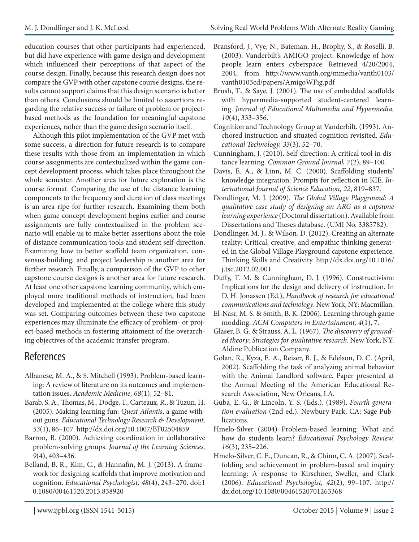education courses that other participants had experienced, but did have experience with game design and development which influenced their perceptions of that aspect of the course design. Finally, because this research design does not compare the GVP with other capstone course designs, the results cannot support claims that this design scenario is better than others. Conclusions should be limited to assertions regarding the relative success or failure of problem or projectbased methods as the foundation for meaningful capstone experiences, rather than the game design scenario itself.

Although this pilot implementation of the GVP met with some success, a direction for future research is to compare these results with those from an implementation in which course assignments are contextualized within the game concept development process, which takes place throughout the whole semester. Another area for future exploration is the course format. Comparing the use of the distance learning components to the frequency and duration of class meetings is an area ripe for further research. Examining them both when game concept development begins earlier and course assignments are fully contextualized in the problem scenario will enable us to make better assertions about the role of distance communication tools and student self-direction. Examining how to better scaffold team organization, consensus-building, and project leadership is another area for further research. Finally, a comparison of the GVP to other capstone course designs is another area for future research. At least one other capstone learning community, which employed more traditional methods of instruction, had been developed and implemented at the college where this study was set. Comparing outcomes between these two capstone experiences may illuminate the efficacy of problem- or project-based methods in fostering attainment of the overarching objectives of the academic transfer program.

# References

- Albanese, M. A., & S. Mitchell (1993). Problem-based learning: A review of literature on its outcomes and implementation issues. *Academic Medicine, 68*(1), 52–81.
- Barab, S. A., Thomas, M., Dodge, T., Carteaux, R., & Tuzun, H. (2005). Making learning fun: *Quest Atlantis*, a game without guns. *Educational Technology Research & Development, 53*(1), 86–107. http://dx.doi.org/10.1007/BF02504859
- Barron, B. (2000). Achieving coordination in collaborative problem-solving groups. *Journal of the Learning Sciences, 9*(4), 403–436.
- Belland, B. R., Kim, C., & Hannafin, M. J. (2013). A framework for designing scaffolds that improve motivation and cognition. *Educational Psychologist, 48*(4), 243–270. doi:1 0.1080/00461520.2013.838920
- Bransford, J., Vye, N., Bateman, H., Brophy, S., & Roselli, B. (2003). Vanderbilt's AMIGO project: Knowledge of how people learn enters cyberspace. Retrieved 4/20/2004, 2004, from http://www.vanth.org/mmedia/vanth0103/ vanth0103cd/papers/AmigoWFig.pdf
- Brush, T., & Saye, J. (2001). The use of embedded scaffolds with hypermedia-supported student-centered learning. *Journal of Educational Multimedia and Hypermedia, 10*(4), 333–356.
- Cognition and Technology Group at Vanderbilt. (1993). Anchored instruction and situated cognition revisited. *Educational Technology, 33*(3), 52–70.
- Cunningham, J. (2010). Self-direction: A critical tool in distance learning. *Common Ground Journal, 7*(2), 89–100.
- Davis, E. A., & Linn, M. C. (2000). Scaffolding students' knowledge integration: Prompts for reflection in KIE. *International Journal of Science Education, 22*, 819–837.
- Dondlinger, M. J. (2009). *The Global Village Playground: A qualitative case study of designing an ARG as a capstone learning experience* (Doctoral dissertation). Available from Dissertations and Theses database. (UMI No. 3385782).
- Dondlinger, M. J., & Wilson, D. (2012). Creating an alternate reality: Critical, creative, and empathic thinking generated in the Global Village Playground capstone experience. Thinking Skills and Creativity. http://dx.doi.org/10.1016/ j.tsc.2012.02.001
- Duffy, T. M. & Cunningham, D. J. (1996). Constructivism: Implications for the design and delivery of instruction. In D. H. Jonassen (Ed.), *Handbook of research for educational communications and technology*. New York, NY: Macmillan.
- El-Nasr, M. S. & Smith, B. K. (2006). Learning through game modding. *ACM Computers in Entertainment, 4*(1), 7.
- Glaser, B. G. & Strauss, A. L. (1967). *The discovery of grounded theory: Strategies for qualitative research*. New York, NY: Aldine Publication Company.
- Golan, R., Kyza, E. A., Reiser, B. J., & Edelson, D. C. (April, 2002). Scaffolding the task of analyzing animal behavior with the Animal Landlord software. Paper presented at the Annual Meeting of the American Educational Research Association, New Orleans, LA.
- Guba, E. G., & Lincoln, Y. S. (Eds.). (1989). *Fourth generation evaluation* (2nd ed.). Newbury Park, CA: Sage Publications.
- Hmelo-Silver (2004) Problem-based learning: What and how do students learn? *Educational Psychology Review, 16*(3), 235–226.
- Hmelo-Silver, C. E., Duncan, R., & Chinn, C. A. (2007). Scaffolding and achievement in problem-based and inquiry learning: A response to Kirschner, Sweller, and Clark (2006). *Educational Psychologist, 42*(2), 99–107. http:// dx.doi.org/10.1080/00461520701263368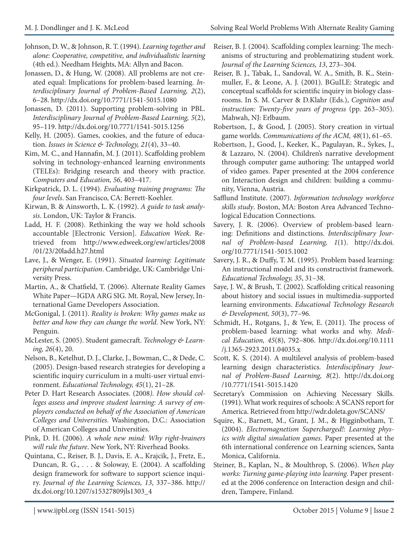- Johnson, D. W., & Johnson, R. T. (1994). *Learning together and alone: Cooperative, competitive, and individualistic learning* (4th ed.). Needham Heights, MA: Allyn and Bacon.
- Jonassen, D., & Hung, W. (2008). All problems are not created equal: Implications for problem-based learning. *Interdisciplinary Journal of Problem-Based Learning, 2*(2), 6–28. http://dx.doi.org/10.7771/1541-5015.1080
- Jonassen, D. (2011). Supporting problem-solving in PBL. *Interdisciplinary Journal of Problem-Based Learning, 5*(2), 95–119. http://dx.doi.org/10.7771/1541-5015.1256
- Kelly, H. (2005). Games, cookies, and the future of education. *Issues in Science & Technology, 21*(4), 33–40.
- Kim, M. C., and Hannafin, M. J. (2011). Scaffolding problem solving in technology-enhanced learning environments (TELEs): Bridging research and theory with practice. *Computers and Education, 56*, 403–417.
- Kirkpatrick, D. L. (1994). *Evaluating training programs: The four levels*. San Francisco, CA: Berrett-Koehler.
- Kirwan, B. & Ainsworth, L. K. (1992). *A guide to task analysis*. London, UK: Taylor & Francis.
- Ladd, H. F. (2008). Rethinking the way we hold schools accountable [Electronic Version]. *Education Week*. Retrieved from http://www.edweek.org/ew/articles/2008 /01/23/20ladd.h27.html
- Lave, J., & Wenger, E. (1991). *Situated learning: Legitimate peripheral participation*. Cambridge, UK: Cambridge University Press.
- Martin, A., & Chatfield, T. (2006). Alternate Reality Games White Paper—IGDA ARG SIG. Mt. Royal, New Jersey, International Game Developers Association.
- McGonigal, J. (2011). *Reality is broken: Why games make us better and how they can change the world*. New York, NY: Penguin.
- McLester, S. (2005). Student gamecraft. *Technology & Learning, 26*(4), 20.
- Nelson, B., Ketelhut, D. J., Clarke, J., Bowman, C., & Dede, C. (2005). Design-based research strategies for developing a scientific inquiry curriculum in a multi-user virtual environment. *Educational Technology, 45*(1), 21–28.
- Peter D. Hart Research Associates. (2008*). How should colleges assess and improve student learning: A survey of employers conducted on behalf of the Association of American Colleges and Universities*. Washington, D.C.: Association of American Colleges and Universities.
- Pink, D. H. (2006). *A whole new mind: Why right-brainers will rule the future*. New York, NY: Riverhead Books.
- Quintana, C., Reiser, B. J., Davis, E. A., Krajcik, J., Fretz, E., Duncan, R. G., . . . & Soloway, E. (2004). A scaffolding design framework for software to support science inquiry. *Journal of the Learning Sciences, 13*, 337–386. http:// dx.doi.org/10.1207/s15327809jls1303\_4
- Reiser, B. J. (2004). Scaffolding complex learning: The mechanisms of structuring and problematizing student work. *Journal of the Learning Sciences, 13*, 273–304.
- Reiser, B. J., Tabak, I., Sandoval, W. A., Smith, B. K., Steinmuller, F., & Leone, A. J. (2001). BGuILE: Strategic and conceptual scaffolds for scientific inquiry in biology classrooms. In S. M. Carver & D.Klahr (Eds.), *Cognition and instruction: Twenty-five years of progress* (pp. 263–305). Mahwah, NJ: Erlbaum.
- Robertson, J., & Good, J. (2005). Story creation in virtual game worlds. *Communications of the ACM, 48*(1), 61–65.
- Robertson, J., Good, J., Keeker, K., Pagulayan, R., Sykes, J., & Lazzaro, N. (2004). Children's narrative development through computer game authoring: The untapped world of video games. Paper presented at the 2004 conference on Interaction design and children: building a community, Vienna, Austria.
- Safflund Institute. (2007). *Information technology workforce skills study*. Boston, MA: Boston Area Advanced Technological Education Connections.
- Savery, J. R. (2006). Overview of problem-based learning: Definitions and distinctions. *Interdisciplinary Journal of Problem-based Learning, 1*(1). http://dx.doi. org/10.7771/1541-5015.1002
- Savery, J. R., & Duffy, T. M. (1995). Problem based learning: An instructional model and its constructivist framework. *Educational Technology, 35*, 31–38.
- Saye, J. W., & Brush, T. (2002). Scaffolding critical reasoning about history and social issues in multimedia-supported learning environments. *Educational Technology Research & Development, 50*(3), 77–96.
- Schmidt, H., Rotgans, J., & Yew, E. (2011). The process of problem-based learning: what works and why. *Medical Education, 45*(8), 792–806. http://dx.doi.org/10.1111 /j.1365-2923.2011.04035.x
- Scott, K. S. (2014). A multilevel analysis of problem-based learning design characteristics. *Interdisciplinary Journal of Problem-Based Learning, 8*(2). http://dx.doi.org /10.7771/1541-5015.1420
- Secretary's Commission on Achieving Necessary Skills. (1991). What work requires of schools: A SCANS report for America. Retrieved from http://wdr.doleta.gov/SCANS/
- Squire, K., Barnett, M., Grant, J. M., & Higginbotham, T. (2004). *Electromagnetism Supercharged!: Learning physics with digital simulation games*. Paper presented at the 6th international conference on Learning sciences, Santa Monica, California.
- Steiner, B., Kaplan, N., & Moulthrop, S. (2006). *When play works: Turning game-playing into learning*. Paper presented at the 2006 conference on Interaction design and children, Tampere, Finland.